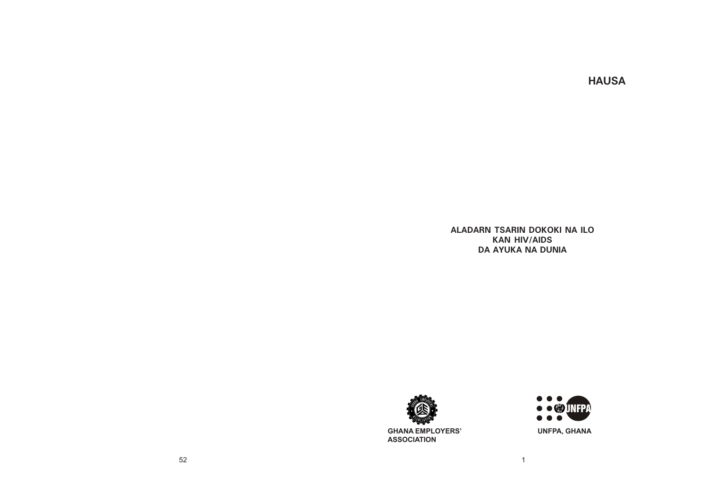# **HAUSA**

**ALADARN TSARIN DOKOKI NA ILO KAN HIV/AIDS DA AYUKA NA DUNIA**





**ASSOCIATION**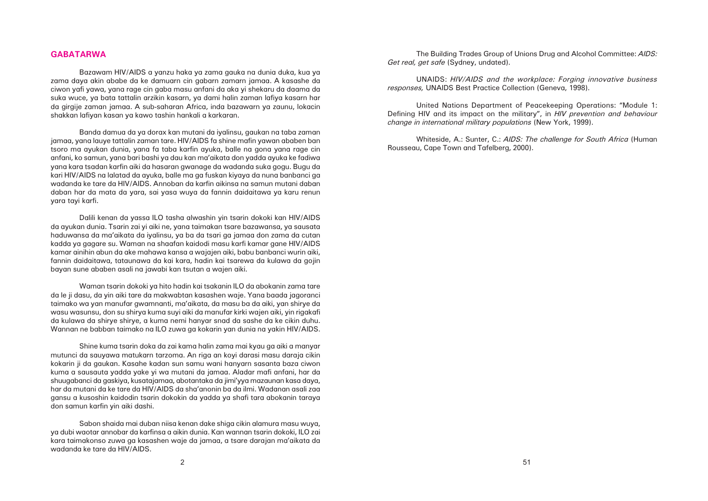### **GABATARWA**

Bazawam HIV/AIDS a yanzu haka ya zama gauka na dunia duka, kua ya zama daya akin ababe da ke damuarn cin gabarn zamarn jamaa. A kasashe da ciwon yafi yawa, yana rage cin gaba masu anfani da aka yi shekaru da daama da suka wuce, ya bata tattalin arzikin kasarn, ya dami halin zaman lafiya kasarn har da girgije zaman jamaa. A sub-saharan Africa, inda bazawarn ya zaunu, lokacin shakkan lafiyan kasan ya kawo tashin hankali a karkaran.

Banda damua da ya dorax kan mutani da iyalinsu, gaukan na taba zaman jamaa, yana lauye tattalin zaman tare. HIV/AIDS fa shine mafin yawan ababen ban tsoro ma ayukan dunia, yana fa taba karfin ayuka, balle na gona yana rage cin anfani, ko samun, yana bari bashi ya dau kan ma'aikata don yadda ayuka ke fadiwa yana kara tsadan karfin aiki da hasaran gwanage da wadanda suka gogu. Bugu da kari HIV/AIDS na lalatad da ayuka, balle ma ga fuskan kiyaya da nuna banbanci ga wadanda ke tare da HIV/AIDS. Annoban da karfin aikinsa na samun mutani daban daban har da mata da yara, sai yasa wuya da fannin daidaitawa ya karu renun yara tayi karfi.

Dalili kenan da yassa ILO tasha alwashin yin tsarin dokoki kan HIV/AIDS da ayukan dunia. Tsarin zai yi aiki ne, yana taimakan tsare bazawansa, ya sausata haduwansa da ma'aikata da iyalinsu, ya ba da tsari ga jamaa don zama da cutan kadda ya gagare su. Waman na shaafan kaidodi masu karfi kamar gane HIV/AIDS kamar ainihin abun da ake mahawa kansa a wajajen aiki, babu banbanci wurin aiki, fannin daidaitawa, tataunawa da kai kara, hadin kai tsarewa da kulawa da gojin bayan sune ababen asali na jawabi kan tsutan a wajen aiki.

Waman tsarin dokoki ya hito hadin kai tsakanin ILO da abokanin zama tare da le ji dasu, da yin aiki tare da makwabtan kasashen waje. Yana baada jagoranci taimako wa yan manufar gwamnanti, ma'aikata, da masu ba da aiki, yan shirye da wasu wasunsu, don su shirya kuma suyi aiki da manufar kirki wajen aiki, yin rigakafi da kulawa da shirye shirye, a kuma nemi hanyar snad da sashe da ke cikin duhu. Wannan ne babban taimako na ILO zuwa ga kokarin yan dunia na yakin HIV/AIDS.

Shine kuma tsarin doka da zai kama halin zama mai kyau ga aiki a manyar mutunci da sauyawa matukarn tarzoma. An riga an koyi darasi masu daraja cikin kokarin ji da gaukan. Kasahe kadan sun samu wani hanyarn sasanta baza ciwon kuma a sausauta yadda yake yi wa mutani da jamaa. Aladar mafi anfani, har da shuugabanci da gaskiya, kusatajamaa, abotantaka da jimi'yya mazaunan kasa daya, har da mutani da ke tare da HIV/AIDS da sha'anonin ba da ilmi. Wadanan asali zaa gansu a kusoshin kaidodin tsarin dokokin da yadda ya shafi tara abokanin taraya don samun karfin yin aiki dashi.

Sabon shaida mai duban niisa kenan dake shiga cikin alamura masu wuya, ya dubi waotar annobar da karfinsa a aikin dunia. Kan wannan tsarin dokoki, ILO zai kara taimakonso zuwa ga kasashen waje da jamaa, a tsare darajan ma'aikata da wadanda ke tare da HIV/AIDS.

The Building Trades Group of Unions Drug and Alcohol Committee: *AIDS: Get real, get safe* (Sydney, undated).

UNAIDS: *HIV/AIDS and the workplace: Forging innovative business responses,* UNAIDS Best Practice Collection (Geneva, 1998).

United Nations Department of Peacekeeping Operations: "Module 1: Defining HIV and its impact on the military", in *HIV prevention and behaviour change in international military populations* (New York, 1999).

Whiteside, A.: Sunter, C.: *AIDS: The challenge for South Africa* (Human Rousseau, Cape Town and Tafelberg, 2000).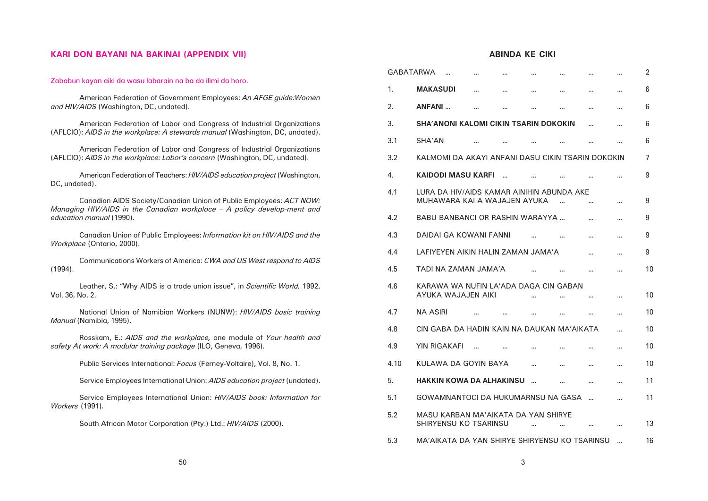# **ABINDA KE CIKI**

# **KARI DON BAYANI NA BAKINAI (APPENDIX VII)**

|                                                                                                                                                        |      | <b>GABATARWA</b>                                                          |            |             |          |          |            |               | $\overline{2}$ |
|--------------------------------------------------------------------------------------------------------------------------------------------------------|------|---------------------------------------------------------------------------|------------|-------------|----------|----------|------------|---------------|----------------|
| Zababun kayan aiki da wasu labarain na ba da ilimi da horo.                                                                                            | 1.   | <b>MAKASUDI</b>                                                           | $\sim 100$ |             |          |          | $\sim 100$ | $\sim$ $\sim$ | 6              |
| American Federation of Government Employees: An AFGE guide: Women<br>and HIV/AIDS (Washington, DC, undated).                                           | 2.   | <b>ANFANI</b>                                                             | $\cdots$   | <b>A 10</b> |          | $\cdots$ | $\sim$     | $\sim$ $\sim$ | 6              |
| American Federation of Labor and Congress of Industrial Organizations<br>(AFLCIO): AIDS in the workplace: A stewards manual (Washington, DC, undated). | 3.   | <b>SHA'ANONI KALOMI CIKIN TSARIN DOKOKIN</b>                              |            |             |          |          | $\cdots$   |               | 6              |
|                                                                                                                                                        | 3.1  | <b>SHA'AN</b>                                                             |            |             |          |          |            | 14,94         | 6              |
| American Federation of Labor and Congress of Industrial Organizations<br>(AFLCIO): AIDS in the workplace: Labor's concern (Washington, DC, undated).   | 3.2  | KALMOMI DA AKAYI ANFANI DASU CIKIN TSARIN DOKOKIN                         |            |             |          |          |            |               |                |
| American Federation of Teachers: HIV/AIDS education project (Washington,<br>DC, undated).                                                              | 4.   | <b>KAIDODI MASU KARFI</b>                                                 |            |             |          |          |            |               | 9              |
| Canadian AIDS Society/Canadian Union of Public Employees: ACT NOW:<br>Managing HIV/AIDS in the Canadian workplace - A policy develop-ment and          | 4.1  | LURA DA HIV/AIDS KAMAR AINIHIN ABUNDA AKE<br>MUHAWARA KAI A WAJAJEN AYUKA |            |             |          |          |            |               | 9              |
| education manual (1990).                                                                                                                               | 4.2  | <b>BABU BANBANCI OR RASHIN WARAYYA</b>                                    |            |             |          |          |            | $\sim$ $\sim$ | 9              |
| Canadian Union of Public Employees: Information kit on HIV/AIDS and the<br>Workplace (Ontario, 2000).                                                  | 4.3  | <b>DAIDAI GA KOWANI FANNI</b>                                             |            |             |          |          |            | $\sim$ $\sim$ | 9              |
|                                                                                                                                                        | 4.4  | LAFIYEYEN AIKIN HALIN ZAMAN JAMA'A                                        |            |             |          |          | $\sim 100$ | $\sim$ $\sim$ | 9              |
| Communications Workers of America: CWA and US West respond to AIDS<br>(1994).                                                                          | 4.5  | TADI NA ZAMAN JAMA'A                                                      |            |             |          |          |            |               | 10             |
| Leather, S.: "Why AIDS is a trade union issue", in Scientific World, 1992,<br>Vol. 36, No. 2.                                                          | 4.6  | KARAWA WA NUFIN LA'ADA DAGA CIN GABAN<br>AYUKA WAJAJEN AIKI               |            |             |          |          |            |               | 10             |
| National Union of Namibian Workers (NUNW): HIV/AIDS basic training                                                                                     | 4.7  | <b>NA ASIRI</b>                                                           |            |             |          |          |            |               | 10             |
| Manual (Namibia, 1995).                                                                                                                                | 4.8  | CIN GABA DA HADIN KAIN NA DAUKAN MA'AIKATA                                |            |             |          |          |            |               | 10             |
| Rosskam, E.: AIDS and the workplace, one module of Your health and<br>safety At work: A modular training package (ILO, Geneva, 1996).                  | 4.9  | <b>YIN RIGAKAFI</b>                                                       |            |             |          |          |            |               | 10             |
| Public Services International: Focus (Ferney-Voltaire), Vol. 8, No. 1.                                                                                 | 4.10 | KULAWA DA GOYIN BAYA                                                      |            |             | $\cdots$ |          |            |               | 10             |
| Service Employees International Union: AIDS education project (undated).                                                                               | 5.   | <b>HAKKIN KOWA DA ALHAKINSU </b>                                          |            |             |          |          |            | $\cdots$      | 11             |
| Service Employees International Union: HIV/AIDS book: Information for                                                                                  | 5.1  | GOWAMNANTOCI DA HUKUMARNSU NA GASA                                        |            |             |          |          |            |               | 11             |
| <i>Workers</i> (1991).<br>South African Motor Corporation (Pty.) Ltd.: HIV/AIDS (2000).                                                                | 5.2  | MASU KARBAN MA'AIKATA DA YAN SHIRYE<br>SHIRYENSU KO TSARINSU              |            |             |          |          |            |               | 13             |
|                                                                                                                                                        | 5.3  | MA'AIKATA DA YAN SHIRYE SHIRYENSU KO TSARINSU                             |            |             |          |          |            |               | 16             |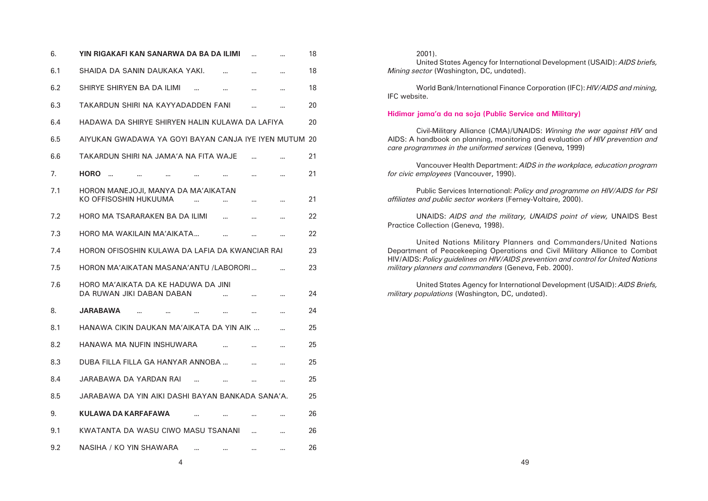| 6.  | YIN RIGAKAFI KAN SANARWA DA BA DA ILIMI                                              |          | 18 |
|-----|--------------------------------------------------------------------------------------|----------|----|
| 6.1 | SHAIDA DA SANIN DAUKAKA YAKI.                                                        | $\cdots$ | 18 |
| 6.2 | SHIRYE SHIRYEN BA DA ILIMI<br>$\ddot{\phantom{a}}$<br>$\cdots$<br>$\cdots$           | $\cdots$ | 18 |
| 6.3 | TAKARDUN SHIRI NA KAYYADADDEN FANI<br>$\cdots$                                       | $\cdots$ | 20 |
| 6.4 | HADAWA DA SHIRYE SHIRYEN HALIN KULAWA DA LAFIYA                                      |          | 20 |
| 6.5 | AIYUKAN GWADAWA YA GOYI BAYAN CANJA IYE IYEN MUTUM 20                                |          |    |
| 6.6 | TAKARDUN SHIRI NA JAMA'A NA FITA WAJE                                                |          | 21 |
| 7.  | <b>HORO</b><br>$\ddotsc$<br>$\cdots$                                                 | $\cdots$ | 21 |
| 7.1 | HORON MANEJOJI, MANYA DA MA'AIKATAN<br>KO OFFISOSHIN HUKUUMA<br>$\cdots$<br>$\cdots$ | $\cdots$ | 21 |
| 7.2 | HORO MA TSARARAKEN BA DA ILIMI<br>$\cdots$<br>$\cdots$                               | $\cdots$ | 22 |
| 7.3 | HORO MA WAKILAIN MA'AIKATA<br>$\cdots$<br>                                           | $\cdots$ | 22 |
| 7.4 | HORON OFISOSHIN KULAWA DA LAFIA DA KWANCIAR RAI                                      |          | 23 |
| 7.5 | HORON MA'AIKATAN MASANA'ANTU /LABORORI                                               |          | 23 |
| 7.6 | HORO MA'AIKATA DA KE HADUWA DA JINI<br>DA RUWAN JIKI DABAN DABAN                     | $\cdots$ | 24 |
| 8.  | <b>JARABAWA</b><br>$\sim 100$<br>$\sim 100$<br>$\sim 100$<br>$\sim 100$<br>$\sim$    | $\sim$   | 24 |
| 8.1 | HANAWA CIKIN DAUKAN MA'AIKATA DA YIN AIK                                             |          | 25 |
| 8.2 | HANAWA MA NUFIN INSHUWARA                                                            |          | 25 |
| 8.3 | DUBA FILLA FILLA GA HANYAR ANNOBA                                                    | $\cdots$ | 25 |
| 8.4 | JARABAWA DA YARDAN RAI<br>                                                           | $\cdots$ | 25 |
| 8.5 | JARABAWA DA YIN AIKI DASHI BAYAN BANKADA SANA'A.                                     |          | 25 |
| 9.  | KULAWA DA KARFAFAWA                                                                  |          | 26 |
| 9.1 | KWATANTA DA WASU CIWO MASU TSANANI                                                   |          | 26 |
| 9.2 | NASIHA / KO YIN SHAWARA                                                              |          | 26 |

| $2001$ ).                                |
|------------------------------------------|
| United States Agency for Internation     |
| Mining sector (Washington, DC, undated). |

World Bank/International Finance Corporation (IFC): *HIV/AIDS and mining,* IFC website.

### **Hidimar jama'a da na soja (Public Service and Military)**

Civil-Military Alliance (CMA)/UNAIDS: *Winning the war against HIV* and AIDS: A handbook on planning, monitoring and evaluation *of HIV prevention and care programmes in the uniformed services* (Geneva, 1999)

Vancouver Health Department: *AIDS in the workplace, education program for civic employees* (Vancouver, 1990).

Public Services International: *Policy and programme on HIV/AIDS for PSI affiliates and public sector workers* (Ferney-Voltaire, 2000).

UNAIDS: *AIDS and the military, UNAIDS point of view,* UNAIDS Best Practice Collection (Geneva, 1998).

United Nations Military Planners and Commanders/United Nations Department of Peacekeeping Operations and Civil Military Alliance to Combat HIV/AIDS: *Policy guidelines on HIV/AIDS prevention and control for United Nations military planners and commanders* (Geneva, Feb. 2000).

United States Agency for International Development (USAID): *AIDS Briefs, military populations* (Washington, DC, undated).

al Development (USAID): *AIDS briefs,*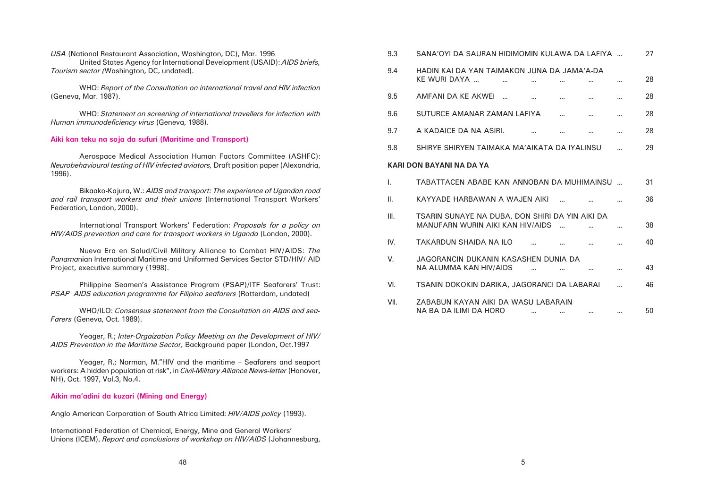| 9.3  | SANA'OYI DA SAURAN HIDIMOMIN KULAWA DA LAFIYA                                              |          |           |            |          |          | 27 |
|------|--------------------------------------------------------------------------------------------|----------|-----------|------------|----------|----------|----|
| 9.4  | HADIN KAI DA YAN TAIMAKON JUNA DA JAMA'A-DA<br>KE WURI DAYA                                | $\cdots$ | $\cdots$  | $\cdots$   |          |          | 28 |
| 9.5  | AMFANI DA KE AKWEI                                                                         |          | $\ddotsc$ |            | $\cdots$ |          | 28 |
| 9.6  | SUTURCE AMANAR ZAMAN LAFIYA                                                                |          |           | $\cdots$   | $\cdots$ |          | 28 |
| 9.7  | A KADAICE DA NA ASIRI.                                                                     |          | $\ddotsc$ |            | $\cdots$ | $\cdots$ | 28 |
| 9.8  | SHIRYE SHIRYEN TAIMAKA MA'AIKATA DA IYALINSU                                               |          |           |            |          | .        | 29 |
|      | <b>KARI DON BAYANI NA DA YA</b>                                                            |          |           |            |          |          |    |
| I.   | TABATTACEN ABABE KAN ANNOBAN DA MUHIMAINSU                                                 |          |           |            |          |          | 31 |
| Ш.   | KAYYADE HARBAWAN A WAJEN AIKI                                                              |          |           |            | $\cdots$ |          | 36 |
| III. | TSARIN SUNAYE NA DUBA, DON SHIRI DA YIN AIKI DA<br><b>MANUFARN WURIN AIKI KAN HIV/AIDS</b> |          |           | $\sim$ 111 |          |          | 38 |
| IV.  | <b>TAKARDUN SHAIDA NA ILO</b>                                                              |          |           |            | $\cdots$ |          | 40 |
| V.   | JAGORANCIN DUKANIN KASASHEN DUNIA DA<br><b>NA ALUMMA KAN HIV/AIDS</b>                      |          | in.       | $\cdots$   |          |          | 43 |
| VI.  | TSANIN DOKOKIN DARIKA, JAGORANCI DA LABARAI                                                |          |           |            |          |          | 46 |
| VII. | ZABABUN KAYAN AIKI DA WASU LABARAIN<br><b>NA BA DA ILIMI DA HORO</b>                       |          | $\cdots$  | $\cdots$   |          | $\cdots$ | 50 |

International Transport Workers' Federation: *Proposals for a policy on HIV/AIDS prevention and care for transport workers in Uganda (London, 2000).* 

*USA* (National Restaurant Association, Washington, DC), Mar. 1996 United States Agency for International Development (USAID): *AIDS briefs, Tourism sector (*Washington, DC, undated).

Philippine Seamen's Assistance Program (PSAP)/ITF Seafarers' Trust: *PSAP AIDS education programme for Filipino seafarers (Rotterdam, undated)* 

WHO: *Report of the Consultation on international travel and HIV infection* (Geneva, Mar. 1987).

WHO: *Statement on screening of international travellers for infection with Human immunodeficiency virus* (Geneva, 1988).

### **Aiki kan teku na soja da sufuri (Maritime and Transport)**

Aerospace Medical Association Human Factors Committee (ASHFC): *Neurobehavioural testing of HIV infected aviators,* Draft position paper (Alexandria, 1996).

Bikaako-Kajura, W.: *AIDS and transport: The experience of Ugandan road and rail transport workers and their unions* (International Transport Workers' Federation, London, 2000).

Nueva Era en Salud/Civil Military Alliance to Combat HIV/AIDS: *The Panama*nian International Maritime and Uniformed Services Sector STD/HIV/ AID Project, executive summary (1998).

WHO/ILO: *Consensus statement from the Consultation on AIDS and sea-Farers* (Geneva, Oct. 1989).

Yeager, R.; *Inter-Orgaization Policy Meeting on the Development of HIV/ AIDS Prevention in the Maritime Sector,* Background paper (London, Oct.1997

Yeager, R.; Norman, M."HIV and the maritime – Seafarers and seaport workers: A hidden population at risk", in *Civil-Military Alliance News-letter* (Hanover, NH), Oct. 1997, Vol.3, No.4.

### **Aikin ma'adini da kuzari (Mining and Energy)**

Anglo American Corporation of South Africa Limited: *HIV/AIDS policy* (1993).

International Federation of Chemical, Energy, Mine and General Workers' Unions (ICEM), *Report and conclusions of workshop on HIV/AIDS* (Johannesburg,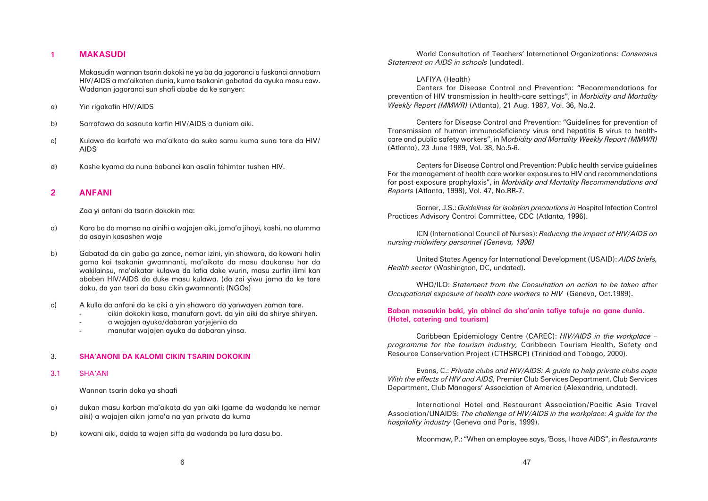### **1 MAKASUDI**

Makasudin wannan tsarin dokoki ne ya ba da jagoranci a fuskanci annobarn HIV/AIDS a ma'aikatan dunia, kuma tsakanin gabatad da ayuka masu caw. Wadanan jagoranci sun shafi ababe da ke sanyen:

- a) Yin rigakafin HIV/AIDS
- b) Sarrafawa da sasauta karfin HIV/AIDS a duniam aiki.
- c) Kulawa da karfafa wa ma'aikata da suka samu kuma suna tare da HIV/ AIDS
- d) Kashe kyama da nuna babanci kan asalin fahimtar tushen HIV.

### **2 ANFANI**

Zaa yi anfani da tsarin dokokin ma:

- a) Kara ba da mamsa na ainihi a wajajen aiki, jama'a jihoyi, kashi, na alumma da asayin kasashen waje
- b) Gabatad da cin gaba ga zance, nemar izini, yin shawara, da kowani halin gama kai tsakanin gwamnanti, ma'aikata da masu daukansu har da wakilainsu, ma'aikatar kulawa da lafia dake wurin, masu zurfin ilimi kan ababen HIV/AIDS da duke masu kulawa. (da zai yiwu jama da ke tare daku, da yan tsari da basu cikin gwamnanti; (NGOs)
- c) A kulla da anfani da ke ciki a yin shawara da yanwayen zaman tare.
	- cikin dokokin kasa, manufarn govt. da yin aiki da shirye shiryen.
	- a wajajen ayuka/dabaran yarjejenia da
	- manufar wajajen ayuka da dabaran yinsa.

### 3. **SHA'ANONI DA KALOMI CIKIN TSARIN DOKOKIN**

### 3.1 SHA'ANI

Wannan tsarin doka ya shaafi

- a) dukan masu karban ma'aikata da yan aiki (game da wadanda ke nemar aiki) a wajajen aikin jama'a na yan privata da kuma
- b) kowani aiki, daida ta wajen siffa da wadanda ba lura dasu ba.

World Consultation of Teachers' International Organizations: *Consensus Statement on AIDS in schools* (undated).

LAFIYA (Health) Centers for Disease Control and Prevention: "Recommendations for prevention of HIV transmission in health-care settings", in *Morbidity and Mortality Weekly Report (MMWR)* (Atlanta), 21 Aug. 1987, Vol. 36, No.2.

Centers for Disease Control and Prevention: "Guidelines for prevention of Transmission of human immunodeficiency virus and hepatitis B virus to healthcare and public safety workers", in M*orbidity and Mortality Weekly Report (MMWR)* (Atlanta), 23 June 1989, Vol. 38, No.5-6.

Centers for Disease Control and Prevention: Public health service guidelines For the management of health care worker exposures to HIV and recommendations for post-exposure prophylaxis", in *Morbidity and Mortality Recommendations and Reports* (Atlanta, 1998), Vol. 47, No.RR-7.

Garner, J.S.: *Guidelines for isolation precautions in* Hospital Infection Control Practices Advisory Control Committee, CDC (Atlanta, 1996).

ICN (International Council of Nurses): *Reducing the impact of HIV/AIDS on nursing-midwifery personnel (Geneva, 1996)*

United States Agency for International Development (USAID): *AIDS briefs, Health sector* (Washington, DC, undated).

WHO/ILO: *Statement from the Consultation on action to be taken after Occupational exposure of health care workers to HIV* (Geneva, Oct.1989).

### **Baban masaukin baki, yin abinci da sha'anin tafiye tafuje na gane dunia. (Hotel, catering and tourism)**

Caribbean Epidemiology Centre (CAREC): *HIV/AIDS in the workplace – programme for the tourism industry,* Caribbean Tourism Health, Safety and Resource Conservation Project (CTHSRCP) (Trinidad and Tobago, 2000)*.*

Evans, C.: *Private clubs and HIV/AIDS: A guide to help private clubs cope With the effects of HIV and AIDS,* Premier Club Services Department, Club Services Department, Club Managers' Association of America (Alexandria, undated).

International Hotel and Restaurant Association/Pacific Asia Travel Association/UNAIDS: *The challenge of HIV/AIDS in the workplace: A guide for the hospitality industry* (Geneva and Paris, 1999).

Moonmaw, P.: "When an employee says, 'Boss, I have AIDS", in *Restaurants*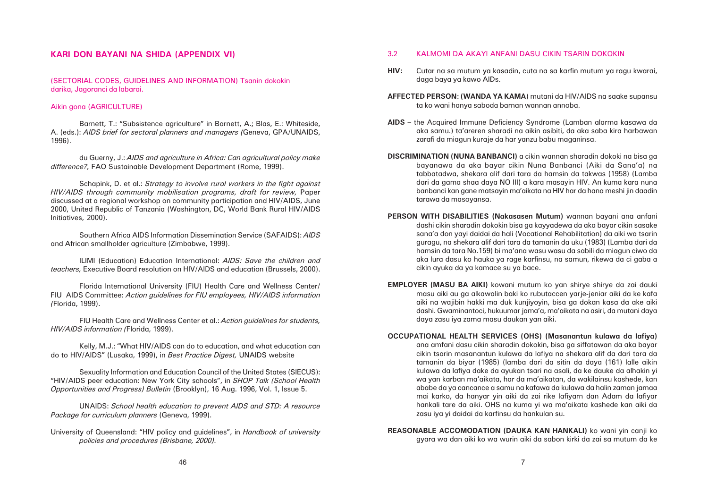## 3.2 KALMOMI DA AKAYI ANFANI DASU CIKIN TSARIN DOKOKIN

**HIV:** Cutar na sa mutum ya kasadin, cuta na sa karfin mutum ya ragu kwarai,

daga baya ya kawo AIDs.

**AFFECTED PERSON: (WANDA YA KAMA**) mutani da HIV/AIDS na saake supansu ta ko wani hanya saboda barnan wannan annoba.

**AIDS –** the Acquired Immune Deficiency Syndrome (Lamban alarma kasawa da zarafi da miagun kuraje da har yanzu babu maganinsa.

aka samu.) ta'areren sharadi na aikin asibiti, da aka saba kira harbawan

**DISCRIMINATION (NUNA BANBANCI)** a cikin wannan sharadin dokoki na bisa ga bayanawa da aka bayar cikin Nuna Banbanci (Aiki da Sana'a) na tabbatadwa, shekara alif dari tara da hamsin da takwas (1958) (Lamba dari da gama shaa daya NO III) a kara masayin HIV. An kuma kara nuna banbanci kan gane matsayin ma'aikata na HIV har da hana meshi jin daadin tarawa da masoyansa.

**PERSON WITH DISABILITIES (Nakasasen Mutum)** wannan bayani ana anfani dashi cikin sharadin dokokin bisa ga kayyadewa da aka bayar cikin sasake sana'a don yayi daidai da hali (Vocational Rehabilitation) da aiki wa tsarin guragu, na shekara alif dari tara da tamanin da uku (1983) (Lamba dari da hamsin da tara No.159) bi ma'ana wasu wasu da sabili da miagun ciwo da aka lura dasu ko hauka ya rage karfinsu, na samun, rikewa da ci gaba a cikin ayuka da ya kamace su ya bace.

**EMPLOYER (MASU BA AIKI)** kowani mutum ko yan shirye shirye da zai dauki masu aiki au ga alkawalin baki ko rubutaccen yarje-jeniar aiki da ke kafa aiki na wajibin hakki ma duk kunjiyoyin, bisa ga dokan kasa da ake aiki dashi. Gwaminantoci, hukuumar jama'a, ma'aikata na asiri, da mutani daya daya zasu iya zama masu daukan yan aiki.

**OCCUPATIONAL HEALTH SERVICES (OHS) (Masanantun kulawa da lafiya)** ana amfani dasu cikin sharadin dokokin, bisa ga siffatawan da aka bayar cikin tsarin masanantun kulawa da lafiya na shekara alif da dari tara da tamanin da biyar (1985) (lamba dari da sitin da daya (161) lalle aikin kulawa da lafiya dake da ayukan tsari na asali, da ke dauke da alhakin yi wa yan karban ma'aikata, har da ma'aikatan, da wakilainsu kashede, kan ababe da ya cancance a samu na kafawa da kulawa da halin zaman jamaa mai karko, da hanyar yin aiki da zai rike lafiyarn dan Adam da lafiyar hankali tare da aiki. OHS na kuma yi wa ma'aikata kashede kan aiki da zasu iya yi daidai da karfinsu da hankulan su.

**REASONABLE ACCOMODATION (DAUKA KAN HANKALI)** ko wani yin canji ko gyara wa dan aiki ko wa wurin aiki da sabon kirki da zai sa mutum da ke

### **KARI DON BAYANI NA SHIDA (APPENDIX VI)**

(SECTORIAL CODES, GUIDELINES AND INFORMATION) Tsanin dokokin darika, Jagoranci da labarai.

### Aikin gona (AGRICULTURE)

Barnett, T.: "Subsistence agriculture" in Barnett, A.; Blas, E.: Whiteside, A. (eds.): *AIDS brief for sectoral planners and managers (*Geneva, GPA/UNAIDS, 1996).

du Guerny, J.: *AIDS and agriculture in Africa: Can agricultural policy make difference?,* FAO Sustainable Development Department (Rome, 1999).

Schapink, D. et al.: *Strategy to involve rural workers in the fight against HIV/AIDS through community mobilisation programs, draft for review, Paper* discussed at a regional workshop on community participation and HIV/AIDS, June 2000, United Republic of Tanzania (Washington, DC, World Bank Rural HIV/AIDS Initiatives, 2000).

Southern Africa AIDS Information Dissemination Service (SAFAIDS): *AIDS* and African smallholder agriculture (Zimbabwe, 1999).

ILIMI (Education) Education International: *AIDS: Save the children and teachers,* Executive Board resolution on HIV/AIDS and education (Brussels, 2000).

Florida International University (FIU) Health Care and Wellness Center/ FIU AIDS Committee: *Action guidelines for FIU employees, HIV/AIDS information (*Florida, 1999).

FIU Health Care and Wellness Center et al.: *Action guidelines for students, HIV/AIDS information (*Florida, 1999).

Kelly, M.J.: "What HIV/AIDS can do to education, and what education can do to HIV/AIDS" (Lusaka, 1999), in *Best Practice Digest,* UNAIDS website

Sexuality Information and Education Council of the United States (SIECUS): "HIV/AIDS peer education: New York City schools", in *SHOP Talk (School Health Opportunities and Progress) Bulletin* (Brooklyn), 16 Aug. 1996, Vol. 1, Issue 5.

UNAIDS: *School health education to prevent AIDS and STD: A resource Package for curriculum planners* (Geneva, 1999).

University of Queensland: "HIV policy and guidelines", in *Handbook of university policies and procedures (Brisbane, 2000).*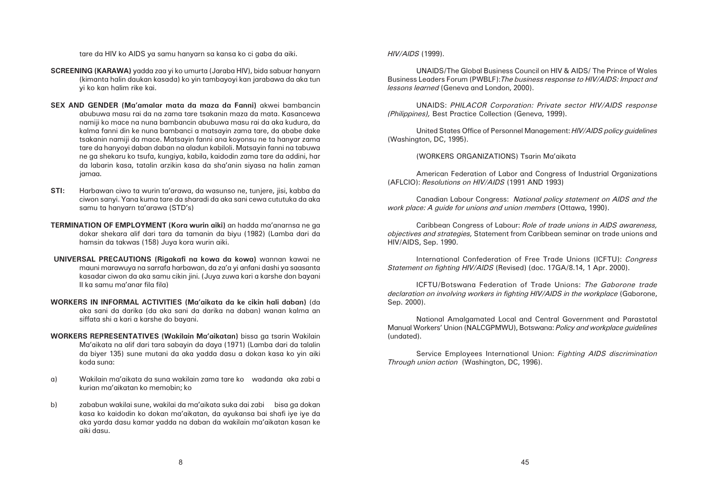tare da HIV ko AIDS ya samu hanyarn sa kansa ko ci gaba da aiki.

- **SCREENING (KARAWA)** yadda zaa yi ko umurta (Jaraba HIV), bida sabuar hanyarn (kimanta halin daukan kasada) ko yin tambayoyi kan jarabawa da aka tun yi ko kan halim rike kai.
- **SEX AND GENDER (Ma'amalar mata da maza da Fanni)** akwei bambancin abubuwa masu rai da na zama tare tsakanin maza da mata. Kasancewa namiji ko mace na nuna bambancin abubuwa masu rai da aka kudura, da kalma fanni din ke nuna bambanci a matsayin zama tare, da ababe dake tsakanin namiji da mace. Matsayin fanni ana koyonsu ne ta hanyar zama tare da hanyoyi daban daban na aladun kabiloli. Matsayin fanni na tabuwa ne ga shekaru ko tsufa, kungiya, kabila, kaidodin zama tare da addini, har da labarin kasa, tatalin arzikin kasa da sha'anin siyasa na halin zaman jamaa.
- **STI:** Harbawan ciwo ta wurin ta'arawa, da wasunso ne, tunjere, jisi, kabba da ciwon sanyi. Yana kuma tare da sharadi da aka sani cewa cututuka da aka samu ta hanyarn ta'arawa (STD's)
- **TERMINATION OF EMPLOYMENT (Kora wurin aiki)** an hadda ma'anarnsa ne ga dokar shekara alif dari tara da tamanin da biyu (1982) (Lamba dari da hamsin da takwas (158) Juya kora wurin aiki.
- **UNIVERSAL PRECAUTIONS (Rigakafi na kowa da kowa)** wannan kawai ne mauni marawuya na sarrafa harbawan, da za'a yi anfani dashi ya saasanta kasadar ciwon da aka samu cikin jini. (Juya zuwa kari a karshe don bayani II ka samu ma'anar fila fila)
- **WORKERS IN INFORMAL ACTIVITIES (Ma'aikata da ke cikin hali daban)** (da aka sani da darika (da aka sani da darika na daban) wanan kalma an siffata shi a kari a karshe do bayani.
- **WORKERS REPRESENTATIVES (Wakilain Ma'aikatan)** bissa ga tsarin Wakilain Ma'aikata na alif dari tara sabayin da daya (1971) (Lamba dari da talalin da biyer 135) sune mutani da aka yadda dasu a dokan kasa ko yin aiki koda suna:
- a) Wakilain ma'aikata da suna wakilain zama tare ko wadanda aka zabi a kurian ma'aikatan ko memobin; ko
- b) zababun wakilai sune, wakilai da ma'aikata suka dai zabi bisa ga dokan kasa ko kaidodin ko dokan ma'aikatan, da ayukansa bai shafi iye iye da aka yarda dasu kamar yadda na daban da wakilain ma'aikatan kasan ke aiki dasu.

*HIV/AIDS* (1999).

# UNAIDS/The Global Business Council on HIV & AIDS/ The Prince of Wales

Business Leaders Forum (PWBLF):*The business response to HIV/AIDS: Impact and lessons learned* (Geneva and London, 2000).

UNAIDS: *PHILACOR Corporation: Private sector HIV/AIDS response (Philippines),* Best Practice Collection (Geneva, 1999).

United States Office of Personnel Management: *HIV/AIDS policy guidelines* (Washington, DC, 1995).

(WORKERS ORGANIZATIONS) Tsarin Ma'aikata

American Federation of Labor and Congress of Industrial Organizations (AFLCIO): *Resolutions on HIV/AIDS* (1991 AND 1993)

Canadian Labour Congress: *National policy statement on AIDS and the work place: A guide for unions and union members* (Ottawa, 1990).

Caribbean Congress of Labour: *Role of trade unions in AIDS awareness, objectives and strategies,* Statement from Caribbean seminar on trade unions and HIV/AIDS, Sep. 1990.

International Confederation of Free Trade Unions (ICFTU): *Congress Statement on fighting HIV/AIDS* (Revised) (doc. 17GA/8.14, 1 Apr. 2000).

ICFTU/Botswana Federation of Trade Unions: *The Gaborone trade declaration on involving workers in fighting HIV/AIDS in the workplace* (Gaborone, Sep. 2000).

National Amalgamated Local and Central Government and Parastatal Manual Workers' Union (NALCGPMWU), Botswana: *Policy and workplace guidelines* (undated).

Service Employees International Union: *Fighting AIDS discrimination Through union action* (Washington, DC, 1996).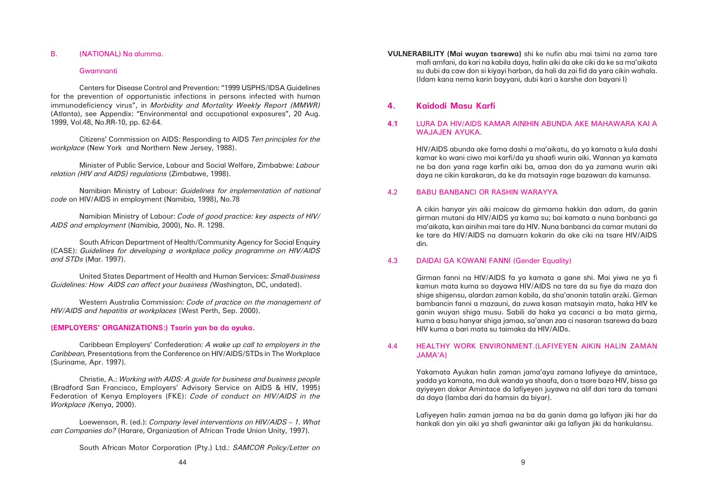**VULNERABILITY (Mai wuyan tsarewa)** shi ke nufin abu mai tsimi na zama tare mafi amfani, da kari na kabila daya, halin aiki da ake ciki da ke sa ma'aikata su dubi da caw don si kiyayi harban, da hali da zai fid da yara cikin wahala. (Idam kana nema karin bayyani, dubi kari a karshe don bayani I)

### **4. Kaidodi Masu Karfi**

### **4.1** LURA DA HIV/AIDS KAMAR AINIHIN ABUNDA AKE MAHAWARA KAI A WAJAJEN AYUKA.

HIV/AIDS abunda ake fama dashi a ma'aikatu, da ya kamata a kula dashi kamar ko wani ciwo mai karfi/da ya shaafi wurin aiki. Wannan ya kamata ne ba don yana rage karfin aiki ba, amaa don da ya zamana wurin aiki daya ne cikin karakaran, da ke da matsayin rage bazawan da kamunsa.

### 4.2 BABU BANBANCI OR RASHIN WARAYYA

A cikin hanyar yin aiki maicaw da girmama hakkin dan adam, da ganin girman mutani da HIV/AIDS ya kama su; bai kamata a nuna banbanci ga ma'aikata, kan ainihin mai tare da HIV. Nuna banbanci da camar mutani da ke tare da HIV/AIDS na damuarn kokarin da ake ciki na tsare HIV/AIDS din.

### 4.3 DAIDAI GA KOWANI FANNI (Gender Equality)

Girman fanni na HIV/AIDS fa ya kamata a gane shi. Mai yiwa ne ya fi kamun mata kuma so dayawa HIV/AIDS na tare da su fiye da maza don shige shigensu, alardan zaman kabila, da sha'anonin tatalin arziki. Girman bambancin fanni a mazauni, da zuwa kasan matsayin mata, haka HIV ke ganin wuyan shiga musu. Sabili da haka ya cacanci a ba mata girma, kuma a basu hanyar shiga jamaa, sa'anan zaa ci nasaran tsarewa da baza HIV kuma a bari mata su taimaka da HIV/AIDs.

### 4.4 HEALTHY WORK ENVIRONMENT.(LAFIYEYEN AIKIN HALIN ZAMAN JAMA'A)

Yakamata Ayukan halin zaman jama'aya zamana lafiyeye da amintace, yadda ya kamata, ma duk wanda ya shaafa, don a tsare baza HIV, bissa ga ayiyeyen dokar Amintace da lafiyeyen juyawa na alif dari tara da tamani da daya (lamba dari da hamsin da biyar).

Lafiyeyen halin zaman jamaa na ba da ganin dama ga lafiyan jiki har da hankali don yin aiki ya shafi gwanintar aiki ga lafiyan jiki da hankulansu.

### B. (NATIONAL) Na alumma.

### Gwamnanti

Centers for Disease Control and Prevention: "1999 USPHS/IDSA Guidelines for the prevention of opportunistic infections in persons infected with human immunodeficiency virus", in *Morbidity and Mortality Weekly Report (MMWR)* (Atlanta), see Appendix: "Environmental and occupational exposures", 20 Aug. 1999, Vol.48, No.RR-10, pp. 62-64.

Citizens' Commission on AIDS: Responding to AIDS *Ten principles for the workplace* (New York and Northern New Jersey, 1988).

Minister of Public Service, Labour and Social Welfare, Zimbabwe: *Labour relation (HIV and AIDS) regulations* (Zimbabwe, 1998).

Namibian Ministry of Labour: *Guidelines for implementation of national code* on HIV/AIDS in employment (Namibia, 1998), No.78

Namibian Ministry of Labour: *Code of good practice: key aspects of HIV/ AIDS and employment* (Namibia, 2000), No. R. 1298.

South African Department of Health/Community Agency for Social Enquiry (CASE): *Guidelines for developing a workplace policy programme on HIV/AIDS and STDs* (Mar. 1997).

United States Department of Health and Human Services: *Small-business Guidelines: How AIDS can affect your business (*Washington, DC, undated).

Western Australia Commission: *Code of practice on the management of HIV/AIDS and hepatitis at workplaces* (West Perth, Sep. 2000).

### **(EMPLOYERS' ORGANIZATIONS:) Tsarin yan ba da ayuka.**

Caribbean Employers' Confederation: *A wake up call to employers in the Caribbean,* Presentations from the Conference on HIV/AIDS/STDs in The Workplace (Suriname, Apr. 1997).

Christie, A.: *Working with AIDS: A guide for business and business people* (Bradford San Francisco, Employers' Advisory Service on AIDS & HIV, 1995) Federation of Kenya Employers (FKE): *Code of conduct on HIV/AIDS in the Workplace (*Kenya, 2000).

Loewenson, R. (ed.): *Company level interventions on HIV/AIDS – 1. What can Companies do?* (Harare, Organization of African Trade Union Unity, 1997).

South African Motor Corporation (Pty.) Ltd.: *SAMCOR Policy/Letter on*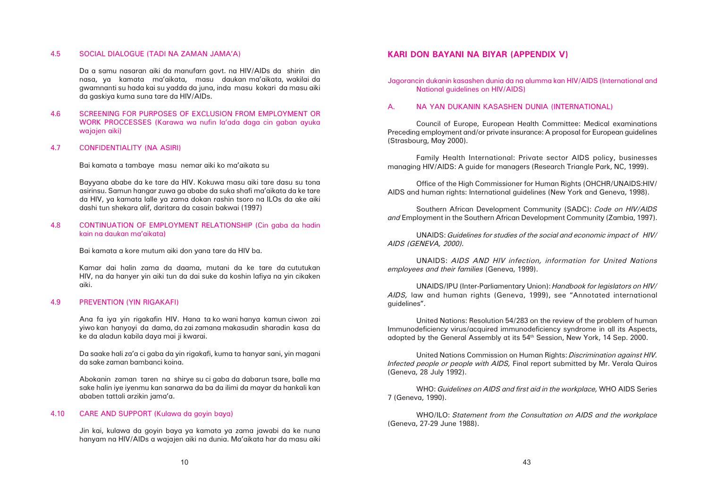### 4.5 SOCIAL DIALOGUE (TADI NA ZAMAN JAMA'A)

Da a samu nasaran aiki da manufarn govt. na HIV/AIDs da shirin din nasa, ya kamata ma'aikata, masu daukan ma'aikata, wakilai da gwamnanti su hada kai su yadda da juna, inda masu kokari da masu aiki da gaskiya kuma suna tare da HIV/AIDs.

4.6 SCREENING FOR PURPOSES OF EXCLUSION FROM EMPLOYMENT OR WORK PROCCESSES (Karawa wa nufin la'ada daga cin gaban ayuka wajajen aiki)

### 4.7 CONFIDENTIALITY (NA ASIRI)

Bai kamata a tambaye masu nemar aiki ko ma'aikata su

Bayyana ababe da ke tare da HIV. Kokuwa masu aiki tare dasu su tona asirinsu. Samun hangar zuwa ga ababe da suka shafi ma'aikata da ke tare da HIV, ya kamata lalle ya zama dokan rashin tsoro na ILOs da ake aiki dashi tun shekara alif, daritara da casain bakwai (1997)

### 4.8 CONTINUATION OF EMPLOYMENT RELATIONSHIP (Cin gaba da hadin kain na daukan ma'aikata)

Bai kamata a kore mutum aiki don yana tare da HIV ba.

Kamar dai halin zama da daama, mutani da ke tare da cututukan HIV, na da hanyer yin aiki tun da dai suke da koshin lafiya na yin cikaken aiki.

### 4.9 PREVENTION (YIN RIGAKAFI)

Ana fa iya yin rigakafin HIV. Hana ta ko wani hanya kamun ciwon zai yiwo kan hanyoyi da dama, da zai zamana makasudin sharadin kasa da ke da aladun kabila daya mai ji kwarai.

Da saake hali za'a ci gaba da yin rigakafi, kuma ta hanyar sani, yin magani da sake zaman bambanci koina.

Abokanin zaman taren na shirye su ci gaba da dabarun tsare, balle ma sake halin iye iyenmu kan sanarwa da ba da ilimi da mayar da hankali kan ababen tattali arzikin jama'a.

### 4.10 CARE AND SUPPORT (Kulawa da goyin baya)

Jin kai, kulawa da goyin baya ya kamata ya zama jawabi da ke nuna hanyam na HIV/AIDs a wajajen aiki na dunia. Ma'aikata har da masu aiki

# **KARI DON BAYANI NA BIYAR (APPENDIX V)**

Jagorancin dukanin kasashen dunia da na alumma kan HIV/AIDS (International and National guidelines on HIV/AIDS)

### A. NA YAN DUKANIN KASASHEN DUNIA (INTERNATIONAL)

Council of Europe, European Health Committee: Medical examinations Preceding employment and/or private insurance: A proposal for European guidelines (Strasbourg, May 2000).

Family Health International: Private sector AIDS policy, businesses managing HIV/AIDS: A guide for managers (Research Triangle Park, NC, 1999).

Office of the High Commissioner for Human Rights (OHCHR/UNAIDS:HIV/ AIDS and human rights: International guidelines (New York and Geneva, 1998).

Southern African Development Community (SADC): *Code on HIV/AIDS and* Employment in the Southern African Development Community (Zambia, 1997).

UNAIDS: *Guidelines for studies of the social and economic impact of HIV/ AIDS (GENEVA, 2000).*

UNAIDS: *AIDS AND HIV infection, information for United Nations employees and their families* (Geneva, 1999).

UNAIDS/IPU (Inter-Parliamentary Union): *Handbook for legislators on HIV/ AIDS,* law and human rights (Geneva, 1999), see "Annotated international guidelines".

United Nations: Resolution 54/283 on the review of the problem of human Immunodeficiency virus/acquired immunodeficiency syndrome in all its Aspects, adopted by the General Assembly at its 54th Session, New York, 14 Sep. 2000.

United Nations Commission on Human Rights: *Discrimination against HIV. Infected people or people with AIDS,* Final report submitted by Mr. Verala Quiros (Geneva, 28 July 1992).

WHO: *Guidelines on AIDS and first aid in the workplace,* WHO AIDS Series 7 (Geneva, 1990).

WHO/ILO: *Statement from the Consultation on AIDS and the workplace* (Geneva, 27-29 June 1988).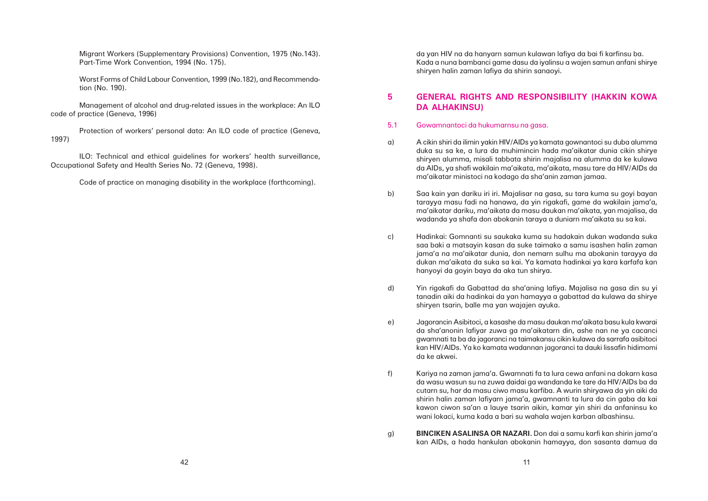da yan HIV na da hanyarn samun kulawan lafiya da bai fi karfinsu ba. Kada a nuna bambanci game dasu da iyalinsu a wajen samun anfani shirye shiryen halin zaman lafiya da shirin sanaoyi.

## **5 GENERAL RIGHTS AND RESPONSIBILITY (HAKKIN KOWA DA ALHAKINSU)**

duka su sa ke, a lura da muhimincin hada ma'aikatar dunia cikin shirye shiryen alumma, misali tabbata shirin majalisa na alumma da ke kulawa da AIDs, ya shafi wakilain ma'aikata, ma'aikata, masu tare da HIV/AIDs da

tarayya masu fadi na hanawa, da yin rigakafi, game da wakilain jama'a, ma'aikatar dariku, ma'aikata da masu daukan ma'aikata, yan majalisa, da

saa baki a matsayin kasan da suke taimako a samu isashen halin zaman jama'a na ma'aikatar dunia, don nemarn sulhu ma abokanin tarayya da dukan ma'aikata da suka sa kai. Ya kamata hadinkai ya kara karfafa kan

- 5.1 Gowamnantoci da hukumarnsu na gasa.
- a) A cikin shiri da ilimin yakin HIV/AIDs ya kamata gownantoci su duba alumma ma'aikatar ministoci na kodago da sha'anin zaman jamaa.
- b) Saa kain yan dariku iri iri. Majalisar na gasa, su tara kuma su goyi bayan wadanda ya shafa don abokanin taraya a duniarn ma'aikata su sa kai.
- c) Hadinkai: Gomnanti su saukaka kuma su hadakain dukan wadanda suka hanyoyi da goyin baya da aka tun shirya.
- d) Yin rigakafi da Gabattad da sha'aning lafiya. Majalisa na gasa din su yi shiryen tsarin, balle ma yan wajajen ayuka.
- e) Jagorancin Asibitoci, a kasashe da masu daukan ma'aikata basu kula kwarai da ke akwei.
- f) Kariya na zaman jama'a. Gwamnati fa ta lura cewa anfani na dokarn kasa wani lokaci, kuma kada a bari su wahala wajen karban albashinsu.
- g) **BINCIKEN ASALINSA OR NAZARI.** Don dai a samu karfi kan shirin jama'a

tanadin aiki da hadinkai da yan hamayya a gabattad da kulawa da shirye

da sha'anonin lafiyar zuwa ga ma'aikatarn din, ashe nan ne ya cacanci gwamnati ta ba da jagoranci na taimakansu cikin kulawa da sarrafa asibitoci kan HIV/AIDs. Ya ko kamata wadannan jagoranci ta dauki lissafin hidimomi

da wasu wasun su na zuwa daidai ga wandanda ke tare da HIV/AIDs ba da cutarn su, har da masu ciwo masu karfiba. A wurin shiryawa da yin aiki da shirin halin zaman lafiyarn jama'a, gwamnanti ta lura da cin gaba da kai kawon ciwon sa'an a lauye tsarin aikin, kamar yin shiri da anfaninsu ko

kan AIDs, a hada hankulan abokanin hamayya, don sasanta damua da

Migrant Workers (Supplementary Provisions) Convention, 1975 (No.143). Part-Time Work Convention, 1994 (No. 175).

Worst Forms of Child Labour Convention, 1999 (No.182), and Recommendation (No. 190).

Management of alcohol and drug-related issues in the workplace: An ILO code of practice (Geneva, 1996)

Protection of workers' personal data: An ILO code of practice (Geneva, 1997)

ILO: Technical and ethical guidelines for workers' health surveillance, Occupational Safety and Health Series No. 72 (Geneva, 1998).

Code of practice on managing disability in the workplace (forthcoming).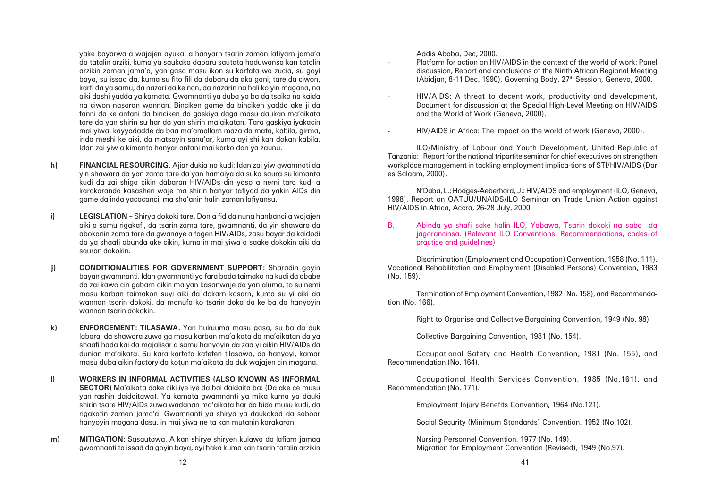yake bayarwa a wajajen ayuka, a hanyarn tsarin zaman lafiyarn jama'a da tatalin arziki, kuma ya saukaka dabaru sautata haduwansa kan tatalin arzikin zaman jama'a, yan gasa masu ikon su karfafa wa zucia, su goyi baya, su issad da, kuma su fito fili da dabaru da aka gani; tare da ciwon, karfi da ya samu, da nazari da ke nan, da nazarin na hali ko yin magana, na aiki dashi yadda ya kamata. Gwamnanti ya duba ya ba da tsaiko na kaida na ciwon nasaran wannan. Binciken game da binciken yadda ake ji da fanni da ke anfani da binciken da gaskiya daga masu daukan ma'aikata tare da yan shirin su har da yan shirin ma'aikatan. Tara gaskiya iyakacin mai yiwa, kayyadadde da baa ma'amallarn maza da mata, kabila, girma, inda meshi ke aiki, da matsayin sana'ar, kuma ayi shi kan dokan kabila. Idan zai yiw a kimanta hanyar anfani mai karko don ya zaunu.

- **h) FINANCIAL RESOURCING.** Ajiar dukia na kudi: Idan zai yiw gwamnati da yin shawara da yan zama tare da yan hamaiya da suka saura su kimanta kudi da zai shiga cikin dabaran HIV/AIDs din yaso a nemi tara kudi a karakaranda kasashen waje ma shirin hanyar tafiyad da yakin AIDs din game da inda yacacanci, ma sha'anin halin zaman lafiyansu.
- **i) LEGISLATION** Shirya dokoki tare. Don a fid da nuna hanbanci a wajajen aiki a samu rigakafi, da tsarin zama tare, gwamnanti, da yin shawara da abokanin zama tare da gwanaye a fagen HIV/AIDs, zasu bayar da kaidodi da ya shaafi abunda ake cikin, kuma in mai yiwa a saake dokokin aiki da sauran dokokin.
- **j) CONDITIONALITIES FOR GOVERNMENT SUPPORT:** Sharadin goyin bayan gwamnanti. Idan gwamnanti ya fara bada taimako na kudi da ababe da zai kawo cin gabarn aikin ma yan kasanwaje da yan aluma, to su nemi masu karban taimakon suyi aiki da dokarn kasarn, kuma su yi aiki da wannan tsarin dokoki, da manufa ko tsarin doka da ke ba da hanyoyin wannan tsarin dokokin.
- **k) ENFORCEMENT: TILASAWA.** Yan hukuuma masu gasa, su ba da duk labarai da shawara zuwa ga masu karban ma'aikata da ma'aikatan da ya shaafi hada kai da majalisar a samu hanyoyin da zaa yi aikin HIV/AIDs da dunian ma'aikata. Su kara karfafa kafefen tilasawa, da hanyoyi, kamar masu duba aikin factory da kotun ma'aikata da duk wajajen cin magana.
- **l) WORKERS IN INFORMAL ACTIVITIES (ALSO KNOWN AS INFORMAL SECTOR)** Ma'aikata dake ciki iye iye da bai daidaita ba: (Da ake ce musu yan rashin daidaitawa). Ya kamata gwamnanti ya mika kuma ya dauki shirin tsare HIV/AIDs zuwa wadanan ma'aikata har da bida musu kudi, da rigakafin zaman jama'a. Gwamnanti ya shirya ya daukakad da saboar hanyoyin magana dasu, in mai yiwa ne ta kan mutanin karakaran.
- **m) MITIGATION:** Sasautawa. A kan shirye shiryen kulawa da lafiarn jamaa gwamnanti ta issad da goyin baya, ayi haka kuma kan tsarin tatalin arzikin

Addis Ababa, Dec, 2000.

discussion, Report and conclusions of the Ninth African Regional Meeting

- Platform for action on HIV/AIDS in the context of the world of work: Panel (Abidjan, 8-11 Dec. 1990), Governing Body, 27th Session, Geneva, 2000.
- HIV/AIDS: A threat to decent work, productivity and development, and the World of Work (Geneva, 2000).
- HIV/AIDS in Africa: The impact on the world of work (Geneva, 2000).

Document for discussion at the Special High-Level Meeting on HIV/AIDS

ILO/Ministry of Labour and Youth Development, United Republic of Tanzania: Report for the national tripartite seminar for chief executives on strengthen workplace management in tackling employment implica-tions of STI/HIV/AIDS (Dar es Salaam, 2000).

N'Daba, L.; Hodges-Aeberhard, J.: HIV/AIDS and employment (ILO, Geneva, 1998). Report on OATUU/UNAIDS/ILO Seminar on Trade Union Action against HIV/AIDS in Africa, Accra, 26-28 July, 2000.

B. Abinda ya shafi sake halin ILO, Yabawa, Tsarin dokoki na sabo da practice and guidelines)

jagorancinsa. (Relevant ILO Conventions, Recommendations, codes of

Discrimination (Employment and Occupation) Convention, 1958 (No. 111). Vocational Rehabilitation and Employment (Disabled Persons) Convention, 1983 (No. 159).

Termination of Employment Convention, 1982 (No. 158), and Recommendation (No. 166).

Right to Organise and Collective Bargaining Convention, 1949 (No. 98)

Collective Bargaining Convention, 1981 (No. 154).

Occupational Safety and Health Convention, 1981 (No. 155), and Recommendation (No. 164).

Occupational Health Services Convention, 1985 (No.161), and Recommendation (No. 171).

Employment Injury Benefits Convention, 1964 (No.121).

Social Security (Minimum Standards) Convention, 1952 (No.102).

Nursing Personnel Convention, 1977 (No. 149). Migration for Employment Convention (Revised), 1949 (No.97).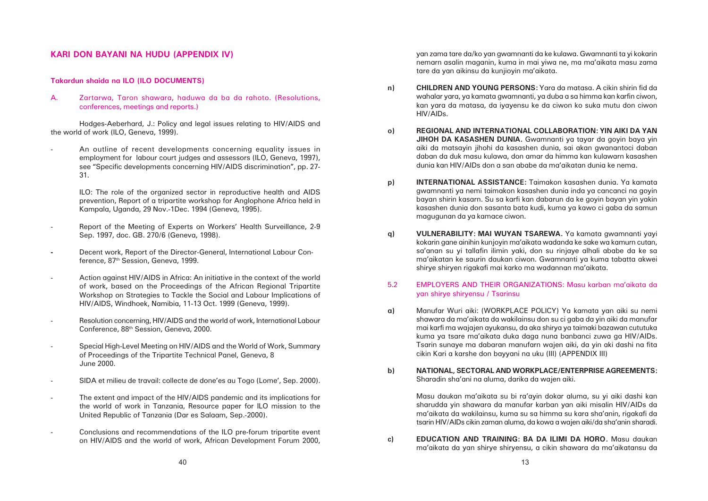yan zama tare da/ko yan gwamnanti da ke kulawa. Gwamnanti ta yi kokarin nemarn asalin maganin, kuma in mai yiwa ne, ma ma'aikata masu zama tare da yan aikinsu da kunjioyin ma'aikata.

wahalar yara, ya kamata gwamnanti, ya duba a sa himma kan karfin ciwon, kan yara da matasa, da iyayensu ke da ciwon ko suka mutu don ciwon

**JIHOH DA KASASHEN DUNIA.** Gwamnanti ya tayar da goyin baya yin aiki da matsayin jihohi da kasashen dunia, sai akan gwanantoci daban daban da duk masu kulawa, don amar da himma kan kulawarn kasashen

- **n) CHILDREN AND YOUNG PERSONS:** Yara da matasa. A cikin shirin fid da HIV/AIDs.
- **o) REGIONAL AND INTERNATIONAL COLLABORATION: YIN AIKI DA YAN** dunia kan HIV/AIDs don a san ababe da ma'aikatan dunia ke nema.
- **p) INTERNATIONAL ASSISTANCE:** Taimakon kasashen dunia. Ya kamata magugunan da ya kamace ciwon.
- **q) VULNERABILITY: MAI WUYAN TSAREWA.** Ya kamata gwamnanti yayi shirye shiryen rigakafi mai karko ma wadannan ma'aikata.

gwamnanti ya nemi taimakon kasashen dunia inda ya cancanci na goyin bayan shirin kasarn. Su sa karfi kan dabarun da ke goyin bayan yin yakin kasashen dunia don sasanta bata kudi, kuma ya kawo ci gaba da samun

kokarin gane ainihin kunjoyin ma'aikata wadanda ke sake wa kamurn cutan, sa'anan su yi tallafin ilimin yaki, don su rinjaye alhali ababe da ke sa ma'aikatan ke saurin daukan ciwon. Gwamnanti ya kuma tabatta akwei

5.2 EMPLOYERS AND THEIR ORGANIZATIONS: Masu karban ma'aikata da yan shirye shiryensu / Tsarinsu

> shawara da ma'aikata da wakilainsu don su ci gaba da yin aiki da manufar mai karfi ma wajajen ayukansu, da aka shirya ya taimaki bazawan cututuka kuma ya tsare ma'aikata duka daga nuna banbanci zuwa ga HIV/AIDs. Tsarin sunaye ma dabaran manufarn wajen aiki, da yin aki dashi na fita

- **a)** Manufar Wuri aiki: (WORKPLACE POLICY) Ya kamata yan aiki su nemi cikin Kari a karshe don bayyani na uku (III) (APPENDIX III)
- **b) NATIONAL, SECTORAL AND WORKPLACE/ENTERPRISE AGREEMENTS:** Sharadin sha'ani na aluma, darika da wajen aiki.

Masu daukan ma'aikata su bi ra'ayin dokar aluma, su yi aiki dashi kan sharudda yin shawara da manufar karban yan aiki misalin HIV/AIDs da ma'aikata da wakilainsu, kuma su sa himma su kara sha'anin, rigakafi da tsarin HIV/AIDs cikin zaman aluma, da kowa a wajen aiki/da sha'anin sharadi.

**c) EDUCATION AND TRAINING: BA DA ILIMI DA HORO.** Masu daukan

ma'aikata da yan shirye shiryensu, a cikin shawara da ma'aikatansu da

### **KARI DON BAYANI NA HUDU (APPENDIX IV)**

### **Takardun shaida na ILO (ILO DOCUMENTS)**

A. Zartarwa, Taron shawara, haduwa da ba da rahoto. (Resolutions, conferences, meetings and reports.)

Hodges-Aeberhard, J.: Policy and legal issues relating to HIV/AIDS and the world of work (ILO, Geneva, 1999).

 An outline of recent developments concerning equality issues in employment for labour court judges and assessors (ILO, Geneva, 1997), see "Specific developments concerning HIV/AIDS discrimination", pp. 27- 31.

> ILO: The role of the organized sector in reproductive health and AIDS prevention, Report of a tripartite workshop for Anglophone Africa held in Kampala, Uganda, 29 Nov.-1Dec. 1994 (Geneva, 1995).

- Report of the Meeting of Experts on Workers' Health Surveillance, 2-9 Sep. 1997, doc. GB. 270/6 (Geneva, 1998).
- **-** Decent work, Report of the Director-General, International Labour Conference, 87<sup>th</sup> Session, Geneva, 1999.
- Action against HIV/AIDS in Africa: An initiative in the context of the world of work, based on the Proceedings of the African Regional Tripartite Workshop on Strategies to Tackle the Social and Labour Implications of HIV/AIDS, Windhoek, Namibia, 11-13 Oct. 1999 (Geneva, 1999).
- Resolution concerning, HIV/AIDS and the world of work, International Labour Conference, 88th Session, Geneva, 2000.
- Special High-Level Meeting on HIV/AIDS and the World of Work, Summary of Proceedings of the Tripartite Technical Panel, Geneva, 8 June 2000.
- SIDA et milieu de travail: collecte de done'es au Togo (Lome', Sep. 2000).
- The extent and impact of the HIV/AIDS pandemic and its implications for the world of work in Tanzania, Resource paper for ILO mission to the United Republic of Tanzania (Dar es Salaam, Sep.-2000).
- Conclusions and recommendations of the ILO pre-forum tripartite event on HIV/AIDS and the world of work, African Development Forum 2000,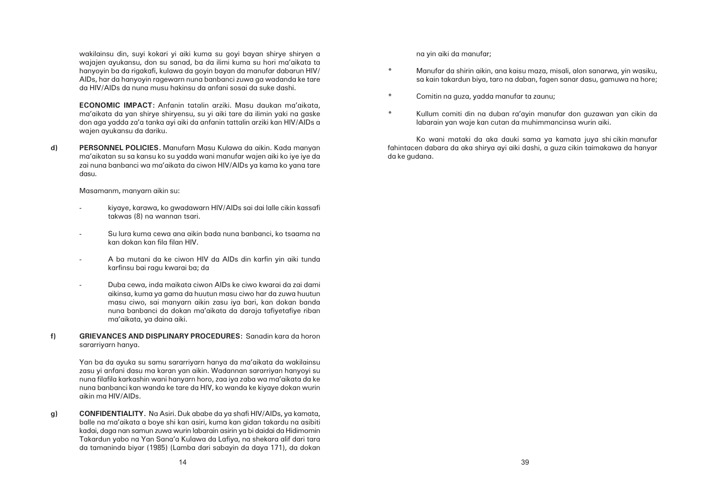wakilainsu din, suyi kokari yi aiki kuma su goyi bayan shirye shiryen a wajajen ayukansu, don su sanad, ba da ilimi kuma su hori ma'aikata ta hanyoyin ba da rigakafi, kulawa da goyin bayan da manufar dabarun HIV/ AIDs, har da hanyoyin ragewarn nuna banbanci zuwa ga wadanda ke tare da HIV/AIDs da nuna musu hakinsu da anfani sosai da suke dashi.

**ECONOMIC IMPACT:** Anfanin tatalin arziki. Masu daukan ma'aikata, ma'aikata da yan shirye shiryensu, su yi aiki tare da ilimin yaki na gaske don aga yadda za'a tanka ayi aiki da anfanin tattalin arziki kan HIV/AIDs a wajen ayukansu da dariku.

**d) PERSONNEL POLICIES.** Manufarn Masu Kulawa da aikin. Kada manyan ma'aikatan su sa kansu ko su yadda wani manufar wajen aiki ko iye iye da zai nuna banbanci wa ma'aikata da ciwon HIV/AIDs ya kama ko yana tare dasu.

Masamanm, manyarn aikin su:

- kiyaye, karawa, ko gwadawarn HIV/AIDs sai dai lalle cikin kassafi takwas (8) na wannan tsari.
- Su lura kuma cewa ana aikin bada nuna banbanci, ko tsaama na kan dokan kan fila filan HIV.
- - A ba mutani da ke ciwon HIV da AIDs din karfin yin aiki tunda karfinsu bai ragu kwarai ba; da
- - Duba cewa, inda maikata ciwon AIDs ke ciwo kwarai da zai dami aikinsa, kuma ya gama da huutun masu ciwo har da zuwa huutun masu ciwo, sai manyarn aikin zasu iya bari, kan dokan banda nuna banbanci da dokan ma'aikata da daraja tafiyetafiye riban ma'aikata, ya daina aiki.
- **f) GRIEVANCES AND DISPLINARY PROCEDURES:** Sanadin kara da horon sararriyarn hanya.

Yan ba da ayuka su samu sararriyarn hanya da ma'aikata da wakilainsu zasu yi anfani dasu ma karan yan aikin. Wadannan sararriyan hanyoyi su nuna filafila karkashin wani hanyarn horo, zaa iya zaba wa ma'aikata da ke nuna banbanci kan wanda ke tare da HIV, ko wanda ke kiyaye dokan wurin aikin ma HIV/AIDs.

**g) CONFIDENTIALITY.** Na Asiri. Duk ababe da ya shafi HIV/AIDs, ya kamata, balle na ma'aikata a boye shi kan asiri, kuma kan gidan takardu na asibiti kadai, daga nan samun zuwa wurin labarain asirin ya bi daidai da Hidimomin Takardun yabo na Yan Sana'a Kulawa da Lafiya, na shekara alif dari tara da tamaninda biyar (1985) (Lamba dari sabayin da daya 171), da dokan na yin aiki da manufar;

 Manufar da shirin aikin, ana kaisu maza, misali, alon sanarwa, yin wasiku, sa kain takardun biya, taro na daban, fagen sanar dasu, gamuwa na hore;

- \*
- \*Comitin na guza, yadda manufar ta zaunu;
- \*labarain yan waje kan cutan da muhimmancinsa wurin aiki.

Kullum comiti din na duban ra'ayin manufar don guzawan yan cikin da

Ko wani mataki da aka dauki sama ya kamata juya shi cikin manufar fahintacen dabara da aka shirya ayi aiki dashi, a guza cikin taimakawa da hanyar da ke gudana.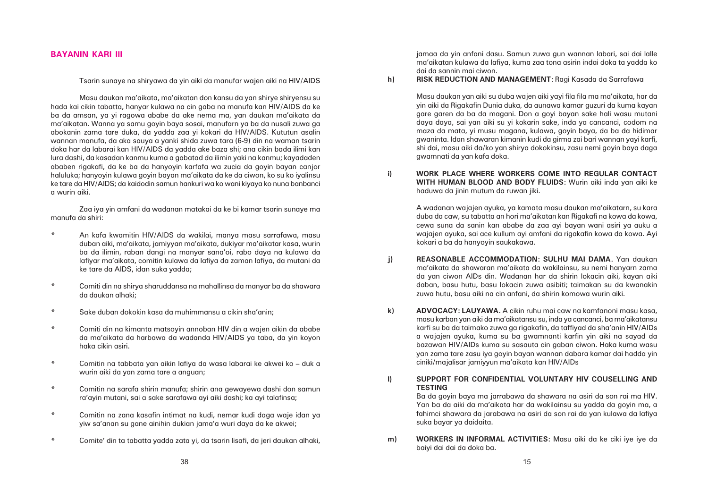jamaa da yin anfani dasu. Samun zuwa gun wannan labari, sai dai lalle ma'aikatan kulawa da lafiya, kuma zaa tona asirin indai doka ta yadda ko dai da sannin mai ciwon.

**h) RISK REDUCTION AND MANAGEMENT:** Ragi Kasada da Sarrafawa

Masu daukan yan aiki su duba wajen aiki yayi fila fila ma ma'aikata, har da yin aiki da Rigakafin Dunia duka, da aunawa kamar guzuri da kuma kayan gare garen da ba da magani. Don a goyi bayan sake hali wasu mutani daya daya, sai yan aiki su yi kokarin sake, inda ya cancanci, codom na maza da mata, yi musu magana, kulawa, goyin baya, da ba da hidimar gwaninta. Idan shawaran kimanin kudi da girma zai bari wannan yayi karfi, shi dai, masu aiki da/ko yan shirya dokokinsu, zasu nemi goyin baya daga gwamnati da yan kafa doka.

**i) WORK PLACE WHERE WORKERS COME INTO REGULAR CONTACT WITH HUMAN BLOOD AND BODY FLUIDS:** Wurin aiki inda yan aiki ke haduwa da jinin mutum da ruwan jiki.

> A wadanan wajajen ayuka, ya kamata masu daukan ma'aikatarn, su kara duba da caw, su tabatta an hori ma'aikatan kan Rigakafi na kowa da kowa, cewa suna da sanin kan ababe da zaa ayi bayan wani asiri ya auku a wajajen ayuka, sai ace kullum ayi amfani da rigakafin kowa da kowa. Ayi kokari a ba da hanyoyin saukakawa.

**j) REASONABLE ACCOMMODATION: SULHU MAI DAMA.** Yan daukan ma'aikata da shawaran ma'aikata da wakilainsu, su nemi hanyarn zama da yan ciwon AIDs din. Wadanan har da shirin lokacin aiki, kayan aiki daban, basu hutu, basu lokacin zuwa asibiti; taimakan su da kwanakin zuwa hutu, basu aiki na cin anfani, da shirin komowa wurin aiki.

> masu karban yan aiki da ma'aikatansu su, inda ya cancanci, ba ma'aikatansu karfi su ba da taimako zuwa ga rigakafin, da taffiyad da sha'anin HIV/AIDs a wajajen ayuka, kuma su ba gwamnanti karfin yin aiki na sayad da bazawan HIV/AIDs kuma su sasauta cin gaban ciwon. Haka kuma wasu yan zama tare zasu iya goyin bayan wannan dabara kamar dai hadda yin

- 
- **k) ADVOCACY: LAUYAWA.** A cikin ruhu mai caw na kamfanoni masu kasa, ciniki/majalisar jamiyyun ma'aikata kan HIV/AIDs
- **l) SUPPORT FOR CONFIDENTIAL VOLUNTARY HIV COUSELLING AND TESTING**

Ba da goyin baya ma jarrabawa da shawara na asiri da son rai ma HIV. Yan ba da aiki da ma'aikata har da wakilainsu su yadda da goyin ma, a fahimci shawara da jarabawa na asiri da son rai da yan kulawa da lafiya suka bayar ya daidaita.

**m) WORKERS IN INFORMAL ACTIVITIES:** Masu aiki da ke ciki iye iye da

baiyi dai dai da doka ba.

### **BAYANIN KARI III**

Tsarin sunaye na shiryawa da yin aiki da manufar wajen aiki na HIV/AIDS

Masu daukan ma'aikata, ma'aikatan don kansu da yan shirye shiryensu su hada kai cikin tabatta, hanyar kulawa na cin gaba na manufa kan HIV/AIDS da ke ba da amsan, ya yi ragowa ababe da ake nema ma, yan daukan ma'aikata da ma'aikatan. Wanna ya samu goyin baya sosai, manufarn ya ba da nusali zuwa ga abokanin zama tare duka, da yadda zaa yi kokari da HIV/AIDS. Kututun asalin wannan manufa, da aka sauya a yanki shida zuwa tara (6-9) din na waman tsarin doka har da labarai kan HIV/AIDS da yadda ake baza shi; ana cikin bada ilimi kan lura dashi, da kasadan kanmu kuma a gabatad da ilimin yaki na kanmu; kayadaden ababen rigakafi, da ke ba da hanyoyin karfafa wa zucia da goyin bayan canjor haluluka; hanyoyin kulawa goyin bayan ma'aikata da ke da ciwon, ko su ko iyalinsu ke tare da HIV/AIDS; da kaidodin samun hankuri wa ko wani kiyaya ko nuna banbanci a wurin aiki.

Zaa iya yin amfani da wadanan matakai da ke bi kamar tsarin sunaye ma manufa da shiri:

- \* An kafa kwamitin HIV/AIDS da wakilai, manya masu sarrafawa, masu duban aiki, ma'aikata, jamiyyan ma'aikata, dukiyar ma'aikatar kasa, wurin ba da ilimin, raban dangi na manyar sana'oi, rabo daya na kulawa da lafiyar ma'aikata, comitin kulawa da lafiya da zaman lafiya, da mutani da ke tare da AIDS, idan suka yadda;
- \* Comiti din na shirya sharuddansa na mahallinsa da manyar ba da shawara da daukan alhaki;
- \*Sake duban dokokin kasa da muhimmansu a cikin sha'anin;
- \* Comiti din na kimanta matsoyin annoban HIV din a wajen aikin da ababe da ma'aikata da harbawa da wadanda HIV/AIDS ya taba, da yin koyon haka cikin asiri.
- \* Comitin na tabbata yan aikin lafiya da wasa labarai ke akwei ko – duk a wurin aiki da yan zama tare a anguan;
- \* Comitin na sarafa shirin manufa; shirin ana gewayewa dashi don samun ra'ayin mutani, sai a sake sarafawa ayi aiki dashi; ka ayi talafinsa;
- \* Comitin na zana kasafin intimat na kudi, nemar kudi daga waje idan ya yiw sa'anan su gane ainihin dukian jama'a wuri daya da ke akwei;
- \*Comite' din ta tabatta yadda zata yi, da tsarin lisafi, da jeri daukan alhaki,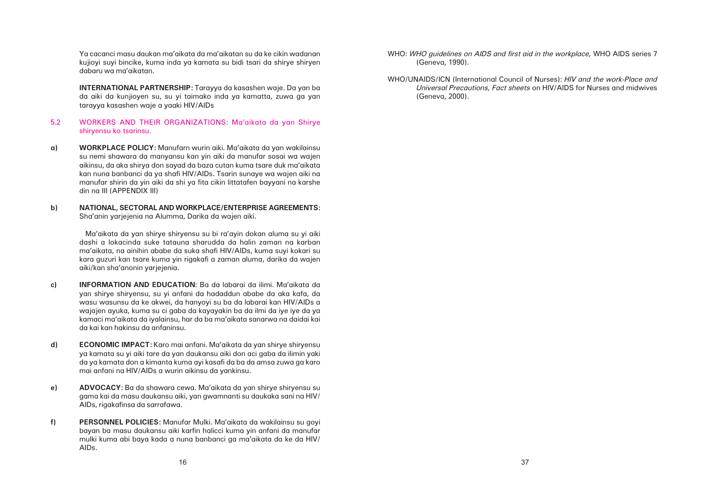Ya cacanci masu daukan ma'aikata da ma'aikatan su da ke cikin wadanan kujioyi suyi bincike, kuma inda ya kamata su bidi tsari da shirye shiryen dabaru wa ma'aikatan.

**INTERNATIONAL PARTNERSHIP:** Tarayya da kasashen waje. Da yan ba da aiki da kunjioyen su, su yi taimako inda ya kamatta, zuwa ga yan tarayya kasashen waje a yaaki HIV/AIDs

### 5.2 WORKERS AND THEIR ORGANIZATIONS: Ma'aikata da yan Shirye shiryensu ko tsarinsu.

- **a) WORKPLACE POLICY:** Manufarn wurin aiki. Ma'aikata da yan wakilainsu su nemi shawara da manyansu kan yin aiki da manufar sosai wa wajen aikinsu, da aka shirya don sayad da baza cutan kuma tsare duk ma'aikata kan nuna banbanci da ya shafi HIV/AIDs. Tsarin sunaye wa wajen aiki na manufar shirin da yin aiki da shi ya fita cikin littatafen bayyani na karshe din na III (APPENDIX III)
- **b) NATIONAL, SECTORAL AND WORKPLACE/ENTERPRISE AGREEMENTS:** Sha'anin yarjejenia na Alumma, Darika da wajen aiki.

 Ma'aikata da yan shirye shiryensu su bi ra'ayin dokan aluma su yi aiki dashi a lokacinda suke tatauna sharudda da halin zaman na karban ma'aikata, na ainihin ababe da suka shafi HIV/AIDs, kuma suyi kokari su kara guzuri kan tsare kuma yin rigakafi a zaman aluma, darika da wajen aiki/kan sha'anonin yarjejenia.

- **c) INFORMATION AND EDUCATION**: Ba da labarai da ilimi. Ma'aikata da yan shirye shiryensu, su yi anfani da hadaddun ababe da aka kafa, da wasu wasunsu da ke akwei, da hanyoyi su ba da labarai kan HIV/AIDs a wajajen ayuka, kuma su ci gaba da kayayakin ba da ilmi da iye iye da ya kamaci ma'aikata da iyalainsu, har da ba ma'aikata sanarwa na daidai kai da kai kan hakinsu da anfaninsu.
- **d) ECONOMIC IMPACT:** Karo mai anfani. Ma'aikata da yan shirye shiryensu ya kamata su yi aiki tare da yan daukansu aiki don aci gaba da ilimin yaki da ya kamata don a kimanta kuma ayi kasafi da ba da amsa zuwa ga karo mai anfani na HIV/AIDs a wurin aikinsu da yankinsu.
- **e) ADVOCACY:** Ba da shawara cewa. Ma'aikata da yan shirye shiryensu su gama kai da masu daukansu aiki, yan gwamnanti su daukaka sani na HIV/ AIDs, rigakafinsa da sarrafawa.
- **f) PERSONNEL POLICIES:** Manufar Mulki. Ma'aikata da wakilainsu su goyi bayan ba masu daukansu aiki karfin halicci kuma yin anfani da manufar mulki kuma abi baya kada a nuna banbanci ga ma'aikata da ke da HIV/ AIDs.
- WHO: *WHO guidelines on AIDS and first aid in the workplace,* WHO AIDS series 7 (Geneva, 1990).
- WHO/UNAIDS/ICN (International Council of Nurses): *HIV and the work-Place and* (Geneva, 2000).

# *Universal Precautions, Fact sheets* on HIV/AIDS for Nurses and midwives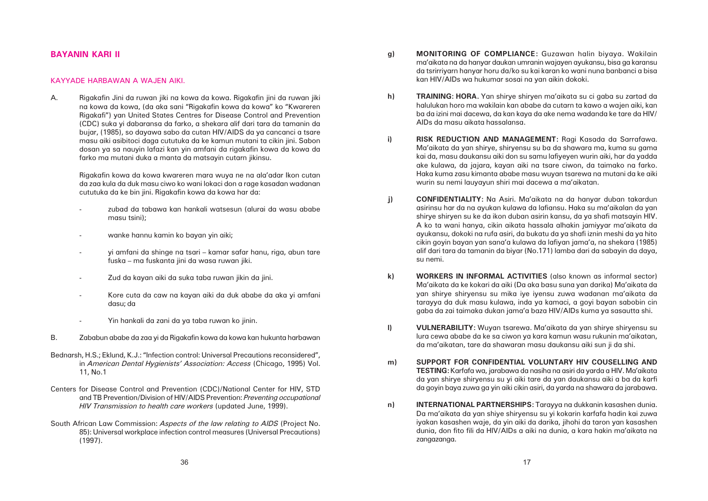ma'aikata na da hanyar daukan umranin wajayen ayukansu, bisa ga karansu da tsrirriyarn hanyar horu da/ko su kai karan ko wani nuna banbanci a bisa

halulukan horo ma wakilain kan ababe da cutarn ta kawo a wajen aiki, kan ba da izini mai dacewa, da kan kaya da ake nema wadanda ke tare da HIV/

**i) RISK REDUCTION AND MANAGEMENT:** Ragi Kasada da Sarrafawa. Ma'aikata da yan shirye, shiryensu su ba da shawara ma, kuma su gama kai da, masu daukansu aiki don su samu lafiyeyen wurin aiki, har da yadda ake kulawa, da jajara, kayan aiki na tsare ciwon, da taimako na farko. Haka kuma zasu kimanta ababe masu wuyan tsarewa na mutani da ke aiki

> asirinsu har da na ayukan kulawa da lafiansu. Haka su ma'aikalan da yan shirye shiryen su ke da ikon duban asirin kansu, da ya shafi matsayin HIV. A ko ta wani hanya, cikin aikata hassala alhakin jamiyyar ma'aikata da ayukansu, dokoki na rufa asiri, da bukatu da ya shafi iznin meshi da ya hito cikin goyin bayan yan sana'a kulawa da lafiyan jama'a, na shekara (1985) alif dari tara da tamanin da biyar (No.171) lamba dari da sabayin da daya,

- **g) MONITORING OF COMPLIANCE:** Guzawan halin biyaya. Wakilain kan HIV/AIDs wa hukumar sosai na yan aikin dokoki.
- **h) TRAINING: HORA.** Yan shirye shiryen ma'aikata su ci gaba su zartad da AIDs da masu aikata hassalansa.
	- wurin su nemi lauyayun shiri mai dacewa a ma'aikatan.
- **j) CONFIDENTIALITY:** Na Asiri. Ma'aikata na da hanyar duban takardun su nemi.
- **k) WORKERS IN INFORMAL ACTIVITIES** (also known as informal sector) gaba da zai taimaka dukan jama'a baza HIV/AIDs kuma ya sasautta shi.
- **l) VULNERABILITY:** Wuyan tsarewa. Ma'aikata da yan shirye shiryensu su da ma'aikatan, tare da shawaran masu daukansu aiki sun ji da shi.
- **m) SUPPORT FOR CONFIDENTIAL VOLUNTARY HIV COUSELLING AND**
- **n) INTERNATIONAL PARTNERSHIPS:** Tarayya na dukkanin kasashen dunia. zangazanga.

Ma'aikata da ke kokari da aiki (Da aka basu suna yan darika) Ma'aikata da yan shirye shiryensu su mika iye iyensu zuwa wadanan ma'aikata da tarayya da duk masu kulawa, inda ya kamaci, a goyi bayan sabobin cin

lura cewa ababe da ke sa ciwon ya kara kamun wasu rukunin ma'aikatan,

**TESTING:** Karfafa wa, jarabawa da nasiha na asiri da yarda a HIV. Ma'aikata da yan shirye shiryensu su yi aiki tare da yan daukansu aiki a ba da karfi da goyin baya zuwa ga yin aiki cikin asiri, da yarda na shawara da jarabawa.

Da ma'aikata da yan shiye shiryensu su yi kokarin karfafa hadin kai zuwa iyakan kasashen waje, da yin aiki da darika, jihohi da taron yan kasashen dunia, don fito fili da HIV/AIDs a aiki na dunia, a kara hakin ma'aikata na

### **BAYANIN KARI II**

### KAYYADE HARBAWAN A WAJEN AIKI.

A. Rigakafin Jini da ruwan jiki na kowa da kowa. Rigakafin jini da ruwan jiki na kowa da kowa, (da aka sani "Rigakafin kowa da kowa" ko "Kwareren Rigakafi") yan United States Centres for Disease Control and Prevention (CDC) suka yi dabaransa da farko, a shekara alif dari tara da tamanin da bujar, (1985), so dayawa sabo da cutan HIV/AIDS da ya cancanci a tsare masu aiki asibitoci daga cututuka da ke kamun mutani ta cikin jini. Sabon dosan ya sa nauyin lafazi kan yin amfani da rigakafin kowa da kowa da farko ma mutani duka a manta da matsayin cutarn jikinsu.

> Rigakafin kowa da kowa kwareren mara wuya ne na ala'adar Ikon cutan da zaa kula da duk masu ciwo ko wani lokaci don a rage kasadan wadanan cututuka da ke bin jini. Rigakafin kowa da kowa har da:

- zubad da tabawa kan hankali watsesun (alurai da wasu ababe masu tsini);
- wanke hannu kamin ko bayan yin aiki;
- yi amfani da shinge na tsari – kamar safar hanu, riga, abun tare fuska – ma fuskanta jini da wasa ruwan jiki.
- -Zud da kayan aiki da suka taba ruwan jikin da jini.
- - Kore cuta da caw na kayan aiki da duk ababe da aka yi amfani dasu; da
- -Yin hankali da zani da ya taba ruwan ko jinin.
- B. Zababun ababe da zaa yi da Rigakafin kowa da kowa kan hukunta harbawan
- Bednarsh, H.S.; Eklund, K.J.: "Infection control: Universal Precautions reconsidered", in *American Dental Hygienists' Association: Access* (Chicago, 1995) Vol. 11, No.1
- Centers for Disease Control and Prevention (CDC)/National Center for HIV, STD and TB Prevention/Division of HIV/AIDS Prevention: *Preventing occupational HIV Transmission to health care workers* (updated June, 1999).
- South African Law Commission: *Aspects of the law relating to AIDS* (Project No. 85): Universal workplace infection control measures (Universal Precautions) (1997).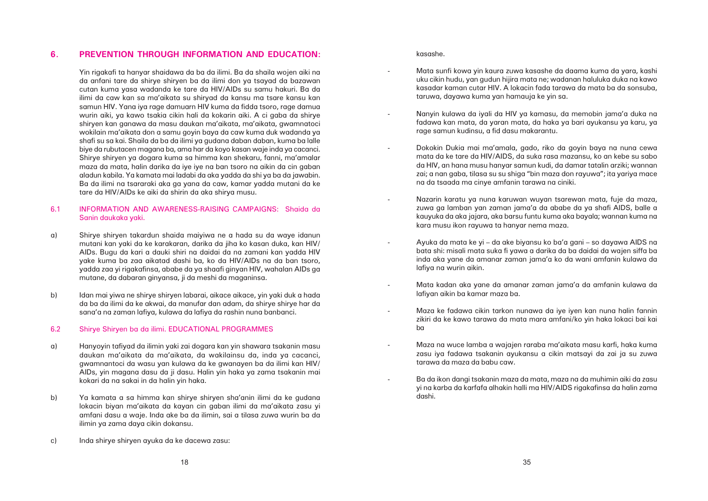### **6. PREVENTION THROUGH INFORMATION AND EDUCATION:**

Yin rigakafi ta hanyar shaidawa da ba da ilimi. Ba da shaila wojen aiki na da anfani tare da shirye shiryen ba da ilimi don ya tsayad da bazawan cutan kuma yasa wadanda ke tare da HIV/AIDs su samu hakuri. Ba da ilimi da caw kan sa ma'aikata su shiryad da kansu ma tsare kansu kan samun HIV. Yana iya rage damuarn HIV kuma da fidda tsoro, rage damua wurin aiki, ya kawo tsakia cikin hali da kokarin aiki. A ci gaba da shirye shiryen kan ganawa da masu daukan ma'aikata, ma'aikata, gwamnatoci wokilain ma'aikata don a samu goyin baya da caw kuma duk wadanda ya shafi su sa kai. Shaila da ba da ilimi ya gudana daban daban, kuma ba lalle biye da rubutacen magana ba, ama har da koyo kasan waje inda ya cacanci. Shirye shiryen ya dogara kuma sa himma kan shekaru, fanni, ma'amalar maza da mata, halin darika da iye iye na ban tsoro na aikin da cin gaban aladun kabila. Ya kamata mai ladabi da aka yadda da shi ya ba da jawabin. Ba da ilimi na tsararaki aka ga yana da caw, kamar yadda mutani da ke tare da HIV/AIDs ke aiki da shirin da aka shirya musu.

### 6.1 INFORMATION AND AWARENESS-RAISING CAMPAIGNS: Shaida da Sanin daukaka yaki.

- a) Shirye shiryen takardun shaida maiyiwa ne a hada su da waye idanun mutani kan yaki da ke karakaran, darika da jiha ko kasan duka, kan HIV/ AIDs. Bugu da kari a dauki shiri na daidai da na zamani kan yadda HIV yake kuma ba zaa aikatad dashi ba, ko da HIV/AIDs na da ban tsoro, yadda zaa yi rigakafinsa, ababe da ya shaafi ginyan HIV, wahalan AIDs ga mutane, da dabaran ginyansa, ji da meshi da maganinsa.
- b) Idan mai yiwa ne shirye shiryen labarai, aikace aikace, yin yaki duk a hada da ba da ilimi da ke akwai, da manufar dan adam, da shirye shirye har da sana'a na zaman lafiya, kulawa da lafiya da rashin nuna banbanci.

### 6.2 Shirye Shiryen ba da ilimi. EDUCATIONAL PROGRAMMES

- a) Hanyoyin tafiyad da ilimin yaki zai dogara kan yin shawara tsakanin masu daukan ma'aikata da ma'aikata, da wakilainsu da, inda ya cacanci, gwamnantoci da wasu yan kulawa da ke gwanayen ba da ilimi kan HIV/ AIDs, yin magana dasu da ji dasu. Halin yin haka ya zama tsakanin mai kokari da na sakai in da halin yin haka.
- b) Ya kamata a sa himma kan shirye shiryen sha'anin ilimi da ke gudana lokacin biyan ma'aikata da kayan cin gaban ilimi da ma'aikata zasu yi amfani dasu a waje. Inda ake ba da ilimin, sai a tilasa zuwa wurin ba da ilimin ya zama daya cikin dokansu.
- c) Inda shirye shiryen ayuka da ke dacewa zasu:

kasashe.

 Mata sunfi kowa yin kaura zuwa kasashe da daama kuma da yara, kashi uku cikin hudu, yan gudun hijira mata ne; wadanan haluluka duka na kawo kasadar kaman cutar HIV. A lokacin fada tarawa da mata ba da sonsuba,

fadawa kan mata, da yaran mata, da haka ya bari ayukansu ya karu, ya

 Dokokin Dukia mai ma'amala, gado, riko da goyin baya na nuna cewa mata da ke tare da HIV/AIDS, da suka rasa mazansu, ko an kebe su sabo da HIV, an hana musu hanyar samun kudi, da damar tatalin arziki; wannan zai; a nan gaba, tilasa su su shiga "bin maza don rayuwa"; ita yariya mace

 Nazarin karatu ya nuna karuwan wuyan tsarewan mata, fuje da maza, zuwa ga lamban yan zaman jama'a da ababe da ya shafi AIDS, balle a kauyuka da aka jajara, aka barsu funtu kuma aka bayala; wannan kuma na

- taruwa, dayawa kuma yan hamauja ke yin sa.
- Nanyin kulawa da iyali da HIV ya kamasu, da memobin jama'a duka na rage samun kudinsu, a fid dasu makarantu.
- na da tsaada ma cinye amfanin tarawa na ciniki.
- kara musu ikon rayuwa ta hanyar nema maza.
- lafiya na wurin aikin.
- lafiyan aikin ba kamar maza ba.
- ba
- tarawa da maza da babu caw.
- dashi.

 Ayuka da mata ke yi – da ake biyansu ko ba'a gani – so dayawa AIDS na bata shi: misali mata suka fi yawa a darika da ba daidai da wajen siffa ba inda aka yane da amanar zaman jama'a ko da wani amfanin kulawa da

Mata kadan aka yane da amanar zaman jama'a da amfanin kulawa da

 Maza ke fadawa cikin tarkon nunawa da iye iyen kan nuna halin fannin zikiri da ke kawo tarawa da mata mara amfani/ko yin haka lokaci bai kai

 Maza na wuce lamba a wajajen raraba ma'aikata masu karfi, haka kuma zasu iya fadawa tsakanin ayukansu a cikin matsayi da zai ja su zuwa

-

 Ba da ikon dangi tsakanin maza da mata, maza na da muhimin aiki da zasu yi na karba da karfafa alhakin halli ma HIV/AIDS rigakafinsa da halin zama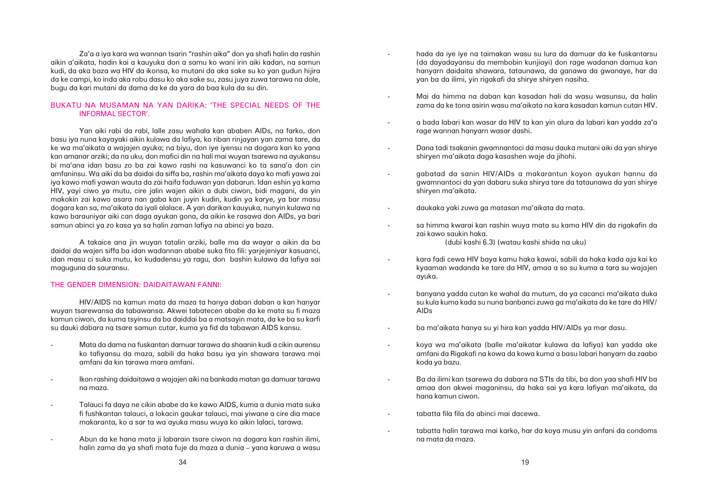hada da iye iye na taimakan wasu su lura da damuar da ke fuskantarsu (da dayadayansu da membobin kunjioyi) don rage wadanan damua kan hanyarn daidaita shawara, tataunawa, da ganawa da gwanaye, har da

 Mai da himma na daban kan kasadan hali da wasu wasunsu, da halin zama da ke tona asirin wasu ma'aikata na kara kasadan kamun cutan HIV.

a bada labari kan wasar da HIV ta kan yin alura da labari kan yadda za'a

Dana tadi tsakanin gwamnantoci da masu dauka mutani aiki da yan shirye

 gabatad da sanin HIV/AIDs a makarantun koyon ayukan hannu da gwamnantoci da yan dabaru suka shirya tare da tataunawa da yan shirye

sa himma kwarai kan rashin wuya mata su kama HIV din da rigakafin da

- yan ba da ilimi, yin rigakafi da shirye shiryen nasiha.
- 
- rage wannan hanyarn wasar dashi.
- shiryen ma'aikata daga kasashen waje da jihohi.
- shiryen ma'aikata.
- daukaka yaki zuwa ga matasan ma'aikata da mata.
- zai kawo saukin haka. (dubi kashi 6.3) (watau kashi shida na uku)
- ayuka.
- AIDs
	- ba ma'aikata hanya su yi hira kan yadda HIV/AIDs ya mar dasu.
- koda ya bazu.
- hana kamun ciwon.
- tabatta fila fila da abinci mai dacewa.
- na mata da maza.

 kara fadi cewa HIV baya kamu haka kawai, sabili da haka kada aja kai ko kyaaman wadanda ke tare da HIV, amaa a so su kuma a tara su wajajen

 banyana yadda cutan ke wahal da mutum, da ya cacanci ma'aikata duka su kula kuma kada su nuna banbanci zuwa ga ma'aikata da ke tare da HIV/

 koya wa ma'aikata (balle ma'aikatar kulawa da lafiya) kan yadda ake amfani da Rigakafi na kowa da kowa kuma a basu labari hanyarn da zaabo

 Ba da ilimi kan tsarewa da dabara na STIs da tibi, ba don yaa shafi HIV ba amaa don akwei maganinsu, da haka sai ya kara lafiyan ma'aikata, da

tabatta halin tarawa mai karko, har da koya musu yin anfani da condoms

Za'a a iya kara wa wannan tsarin "rashin aika" don ya shafi halin da rashin aikin a'aikata, hadin kai a kauyuka don a samu ko wani irin aiki kadan, na samun kudi, da aka baza wa HIV da ikonsa, ko mutani da aka sake su ko yan gudun hijira da ke campi, ko inda aka robu dasu ko aka sake su, zasu juya zuwa tarawa na dole, bugu da kari mutani da dama da ke da yara da baa kula da su din.

### BUKATU NA MUSAMAN NA YAN DARIKA: 'THE SPECIAL NEEDS OF THE INFORMAL SECTOR'.

Yan aiki rabi da rabi, lalle zasu wahala kan ababen AIDs, na farko, don basu iya nuna kayayaki aikin kulawa da lafiya, ko riban rinjayan yan zama tare, da ke wa ma'aikata a wajajen ayuka; na biyu, don iye iyensu na dogara kan ko yana kan amanar arziki; da na uku, don mafici din na hali mai wuyan tsarewa na ayukansu bi ma'ana idan basu zo ba zai kawo rashi na kasuwanci ko ta sana'a don cin amfaninsu. Wa aiki da ba daidai da siffa ba, rashin ma'aikata daya ko mafi yawa zai iya kawo mafi yawan wauta da zai haifa faduwan yan dabarun. Idan eshin ya kama HIV, yayi ciwo ya mutu, cire jalin wajen aikin a dubi ciwon, bidi magani, da yin makokin zai kawo asara nan gaba kan juyin kudin, kudin ya karye, ya bar masu dogara kan sa, ma'aikata da iyali alalace. A yan darikan kauyuka, nunyin kulawa na kawo barauniyar aiki can daga ayukan gona, da aikin ke rasawa don AIDs, ya bari samun abinci ya zo kasa ya sa halin zaman lafiya na abinci ya baza.

A takaice ana jin wuyan tatalin arziki, balle ma da wayar a aikin da ba daidai da wajen siffa ba idan wadannan ababe suka fito fili: yarjejeniyar kasuanci, idan masu ci suka mutu, ko kudadensu ya ragu, don bashin kulawa da lafiya sai maguguna da sauransu.

### THE GENDER DIMENSION: DAIDAITAWAN FANNI:

HIV/AIDS na kamun mata da maza ta hanya daban daban a kan hanyar wuyan tsarewansa da tabawansa. Akwei tabatecen ababe da ke mata su fi maza kamun ciwon, da kuma tsyinsu da ba daiddai ba a matsayin mata, da ke ba su karfi su dauki dabara na tsare samun cutar, kuma ya fid da tabawan AIDS kansu.

- Mata da dama na fuskantan damuar tarawa da shaanin kudi a cikin aurensu ko tafiyansu da maza, sabili da haka basu iya yin shawara tarawa mai amfani da kin tarawa mara amfani.
- Ikon rashing daidaitawa a wajajen aiki na bankada matan ga damuar tarawa na maza.
- Talauci fa daya ne cikin ababe da ke kawo AIDS, kuma a dunia mata suka fi fushkantan talauci, a lokacin gaukar talauci, mai yiwane a cire dia mace makaranta, ko a sar ta wa ayuka masu wuya ko aikin lalaci, tarawa.
- Abun da ke hana mata ji labarain tsare ciwon na dogara kan rashin ilimi, halin zama da ya shafi mata fuje da maza a dunia – yana karuwa a wasu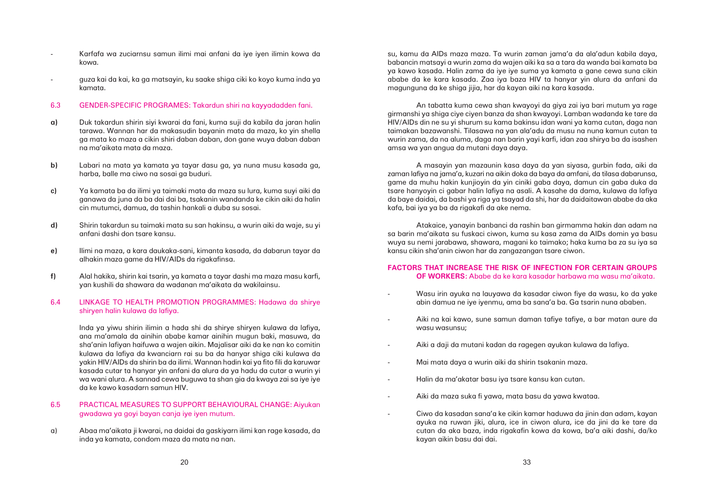- Karfafa wa zuciarnsu samun ilimi mai anfani da iye iyen ilimin kowa da kowa.
- guza kai da kai, ka ga matsayin, ku saake shiga ciki ko koyo kuma inda ya kamata.

### 6.3 GENDER-SPECIFIC PROGRAMES: Takardun shiri na kayyadadden fani.

- **a)** Duk takardun shirin siyi kwarai da fani, kuma suji da kabila da jaran halin tarawa. Wannan har da makasudin bayanin mata da maza, ko yin shella ga mata ko maza a cikin shiri daban daban, don gane wuya daban daban na ma'aikata mata da maza.
- **b)** Labari na mata ya kamata ya tayar dasu ga, ya nuna musu kasada ga, harba, balle ma ciwo na sosai ga buduri.
- **c)** Ya kamata ba da ilimi ya taimaki mata da maza su lura, kuma suyi aiki da ganawa da juna da ba dai dai ba, tsakanin wandanda ke cikin aiki da halin cin mutumci, damua, da tashin hankali a duba su sosai.
- **d)** Shirin takardun su taimaki mata su san hakinsu, a wurin aiki da waje, su yi anfani dashi don tsare kansu.
- **e)** Ilimi na maza, a kara daukaka-sani, kimanta kasada, da dabarun tayar da alhakin maza game da HIV/AIDs da rigakafinsa.
- **f)** Alal hakika, shirin kai tsarin, ya kamata a tayar dashi ma maza masu karfi, yan kushili da shawara da wadanan ma'aikata da wakilainsu.

### 6.4 LINKAGE TO HEALTH PROMOTION PROGRAMMES: Hadawa da shirye shiryen halin kulawa da lafiya.

Inda ya yiwu shirin ilimin a hada shi da shirye shiryen kulawa da lafiya, ana ma'amala da ainihin ababe kamar ainihin mugun baki, masuwa, da sha'anin lafiyan haifuwa a wajen aikin. Majalisar aiki da ke nan ko comitin kulawa da lafiya da kwanciarn rai su ba da hanyar shiga ciki kulawa da yakin HIV/AIDs da shirin ba da ilimi. Wannan hadin kai ya fito fili da karuwar kasada cutar ta hanyar yin anfani da alura da ya hadu da cutar a wurin yi wa wani alura. A sannad cewa buguwa ta shan gia da kwaya zai sa iye iye da ke kawo kasadarn samun HIV.

### 6.5 PRACTICAL MEASURES TO SUPPORT BEHAVIOURAL CHANGE: Aiyukan gwadawa ya goyi bayan canja iye iyen mutum.

a) Abaa ma'aikata ji kwarai, na daidai da gaskiyarn ilimi kan rage kasada, da inda ya kamata, condom maza da mata na nan.

su, kamu da AIDs maza maza. Ta wurin zaman jama'a da ala'adun kabila daya, babancin matsayi a wurin zama da wajen aiki ka sa a tara da wanda bai kamata ba ya kawo kasada. Halin zama da iye iye suma ya kamata a gane cewa suna cikin ababe da ke kara kasada. Zaa iya baza HIV ta hanyar yin alura da anfani da magunguna da ke shiga jijia, har da kayan aiki na kara kasada.

An tabatta kuma cewa shan kwayoyi da giya zai iya bari mutum ya rage girmanshi ya shiga ciye ciyen banza da shan kwayoyi. Lamban wadanda ke tare da HIV/AIDs din ne su yi shurum su kama bakinsu idan wani ya kama cutan, daga nan taimakan bazawanshi. Tilasawa na yan ala'adu da musu na nuna kamun cutan ta wurin zama, da na aluma, daga nan barin yayi karfi, idan zaa shirya ba da isashen amsa wa yan angua da mutani daya daya.

A masayin yan mazaunin kasa daya da yan siyasa, gurbin fada, aiki da zaman lafiya na jama'a, kuzari na aikin doka da baya da amfani, da tilasa dabarunsa, game da muhu hakin kunjioyin da yin ciniki gaba daya, damun cin gaba duka da tsare hanyoyin ci gabar halin lafiya na asali. A kasahe da dama, kulawa da lafiya da baye daidai, da bashi ya riga ya tsayad da shi, har da daidaitawan ababe da aka kafa, bai iya ya ba da rigakafi da ake nema.

Atakaice, yanayin banbanci da rashin ban girmamma hakin dan adam na sa barin ma'aikata su fuskaci ciwon, kuma su kasa zama da AIDs domin ya basu wuya su nemi jarabawa, shawara, magani ko taimako; haka kuma ba za su iya sa kansu cikin sha'anin ciwon har da zangazangan tsare ciwon.

### **FACTORS THAT INCREASE THE RISK OF INFECTION FOR CERTAIN GROUPS OF WORKERS:** Ababe da ke kara kasadar harbawa ma wasu ma'aikata.

Wasu irin ayuka na lauyawa da kasadar ciwon fiye da wasu, ko da yake

Aiki na kai kawo, sune samun daman tafiye tafiye, a bar matan aure da

- abin damua ne iye iyenmu, ama ba sana'a ba. Ga tsarin nuna ababen.
- wasu wasunsu;
- -Aiki a daji da mutani kadan da ragegen ayukan kulawa da lafiya.
- Mai mata daya a wurin aiki da shirin tsakanin maza.
- -Halin da ma'akatar basu iya tsare kansu kan cutan.
- Aiki da maza suka fi yawa, mata basu da yawa kwataa.
- kayan aikin basu dai dai.

 Ciwo da kasadan sana'a ke cikin kamar haduwa da jinin dan adam, kayan ayuka na ruwan jiki, alura, ice in ciwon alura, ice da jini da ke tare da cutan da aka baza, inda rigakafin kowa da kowa, ba'a aiki dashi, da/ko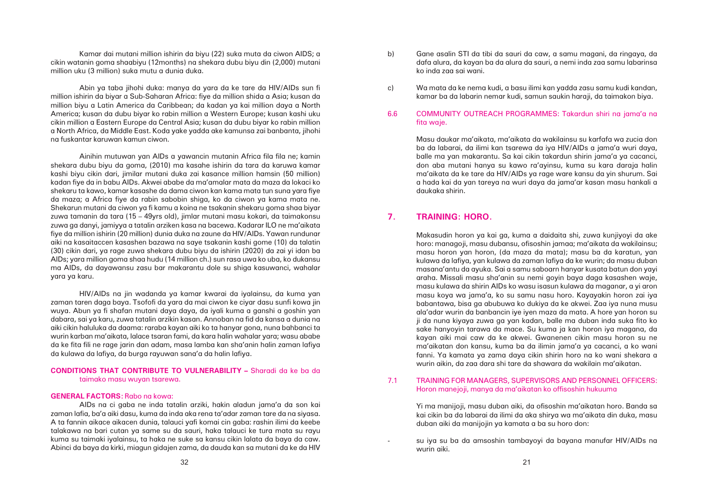- b) Gane asalin STI da tibi da sauri da caw, a samu magani, da ringaya, da ko inda zaa sai wani.
	-

dafa alura, da kayan ba da alura da sauri, a nemi inda zaa samu labarinsa

c) Wa mata da ke nema kudi, a basu ilimi kan yadda zasu samu kudi kandan, kamar ba da labarin nemar kudi, samun saukin haraji, da taimakon biya.

6.6 COMMUNITY OUTREACH PROGRAMMES: Takardun shiri na jama'a na fita waje.

> Masu daukar ma'aikata, ma'aikata da wakilainsu su karfafa wa zucia don ba da labarai, da ilimi kan tsarewa da iya HIV/AIDs a jama'a wuri daya, balle ma yan makarantu. Sa kai cikin takardun shirin jama'a ya cacanci, don aba mutani hanya su kawo ra'ayinsu, kuma su kara daraja halin ma'aikata da ke tare da HIV/AIDs ya rage ware kansu da yin shurum. Sai a hada kai da yan tareya na wuri daya da jama'ar kasan masu hankali a daukaka shirin.

### **7. TRAINING: HORO.**

Makasudin horon ya kai ga, kuma a daidaita shi, zuwa kunjiyoyi da ake horo: managoji, masu dubansu, ofisoshin jamaa; ma'aikata da wakilainsu; masu horon yan horon, (da maza da mata); masu ba da karatun, yan kulawa da lafiya, yan kulawa da zaman lafiya da ke wurin; da masu duban masana'antu da ayuka. Sai a samu saboarn hanyar kusata batun don yayi araha. Missali masu sha'anin su nemi goyin baya daga kasashen waje, masu kulawa da shirin AIDs ko wasu isasun kulawa da maganar, a yi aron masu koya wa jama'a, ko su samu nasu horo. Kayayakin horon zai iya babantawa, bisa ga abubuwa ko dukiya da ke akwei. Zaa iya nuna musu ala'adar wurin da banbancin iye iyen maza da mata. A hore yan horon su ji da nuna kiyaya zuwa ga yan kadan, balle ma duban inda suka fito ko sake hanyoyin tarawa da mace. Su kuma ja kan horon iya magana, da kayan aiki mai caw da ke akwei. Gwanenen cikin masu horon su ne ma'aikatan don kansu, kuma ba da ilimin jama'a ya cacanci, a ko wani fanni. Ya kamata ya zama daya cikin shirin horo na ko wani shekara a wurin aikin, da zaa dara shi tare da shawara da wakilain ma'aikatan.

7.1 TRAINING FOR MANAGERS, SUPERVISORS AND PERSONNEL OFFICERS: Horon manejoji, manya da ma'aikatan ko offisoshin hukuuma

> Yi ma manijoji, masu duban aiki, da ofisoshin ma'aikatan horo. Banda sa kai cikin ba da labarai da ilimi da aka shirya wa ma'aikata din duka, masu duban aiki da manijojin ya kamata a ba su horo don:

> su iya su ba da amsoshin tambayoyi da bayana manufar HIV/AIDs na

wurin aiki.

Kamar dai mutani million ishirin da biyu (22) suka muta da ciwon AIDS; a cikin watanin goma shaabiyu (12months) na shekara dubu biyu din (2,000) mutani million uku (3 million) suka mutu a dunia duka.

Abin ya taba jihohi duka: manya da yara da ke tare da HIV/AIDs sun fi million ishirin da biyar a Sub-Saharan Africa: fiye da million shida a Asia; kusan da million biyu a Latin America da Caribbean; da kadan ya kai million daya a North America; kusan da dubu biyar ko rabin million a Western Europe; kusan kashi uku cikin million a Eastern Europe da Central Asia; kusan da dubu biyar ko rabin million a North Africa, da Middle East. Koda yake yadda ake kamunsa zai banbanta, jihohi na fuskantar karuwan kamun ciwon.

Ainihin mutuwan yan AIDs a yawancin mutanin Africa fila fila ne; kamin shekara dubu biyu da goma, (2010) ma kasahe ishirin da tara da karuwa kamar kashi biyu cikin dari, jimilar mutani duka zai kasance million hamsin (50 million) kadan fiye da in babu AIDs. Akwei ababe da ma'amalar mata da maza da lokaci ko shekaru ta kawo, kamar kasashe da dama ciwon kan kama mata tun suna yara fiye da maza; a Africa fiye da rabin sabobin shiga, ko da ciwon ya kama mata ne. Shekarun mutani da ciwon ya fi kamu a koina ne tsakanin shekaru goma shaa biyar zuwa tamanin da tara (15 – 49yrs old), jimlar mutani masu kokari, da taimakonsu zuwa ga danyi, jamiyya a tatalin arziken kasa na bacewa. Kadarar ILO ne ma'aikata fiye da million ishirin (20 million) dunia duka na zaune da HIV/AIDs. Yawan rundunar aiki na kasaitaccen kasashen bazawa na saye tsakanin kashi gome (10) da talatin (30) cikin dari, ya rage zuwa shekara dubu biyu da ishirin (2020) da zai yi idan ba AIDs; yara million goma shaa hudu (14 million ch.) sun rasa uwa ko uba, ko dukansu ma AIDs, da dayawansu zasu bar makarantu dole su shiga kasuwanci, wahalar yara ya karu.

HIV/AIDs na jin wadanda ya kamar kwarai da iyalainsu, da kuma yan zaman taren daga baya. Tsofofi da yara da mai ciwon ke ciyar dasu sunfi kowa jin wuya. Abun ya fi shafan mutani daya daya, da iyali kuma a ganshi a goshin yan dabara, sai ya karu, zuwa tatalin arzikin kasan. Annoban na fid da kansa a dunia na aiki cikin haluluka da daama: raraba kayan aiki ko ta hanyar gona, nuna bahbanci ta wurin karban ma'aikata, lalace tsaran fami, da kara halin wahalar yara; wasu ababe da ke fita fili ne rage jarin dan adam, masa lamba kan sha'anin halin zaman lafiya da kulawa da lafiya, da burga rayuwan sana'a da halin lafiya.

### **CONDITIONS THAT CONTRIBUTE TO VULNERABILITY –** Sharadi da ke ba da taimako masu wuyan tsarewa.

### **GENERAL FACTORS:** Rabo na kowa:

AIDs na ci gaba ne inda tatalin arziki, hakin aladun jama'a da son kai zaman lafia, ba'a aiki dasu, kuma da inda aka rena ta'adar zaman tare da na siyasa. A ta fannin aikace aikacen dunia, talauci yafi komai cin gaba: rashin ilimi da keebe talakawa na bari cutan ya same su da sauri, haka talauci ke tura mata su rayu kuma su taimaki iyalainsu, ta haka ne suke sa kansu cikin lalata da baya da caw. Abinci da baya da kirki, miagun gidajen zama, da dauda kan sa mutani da ke da HIV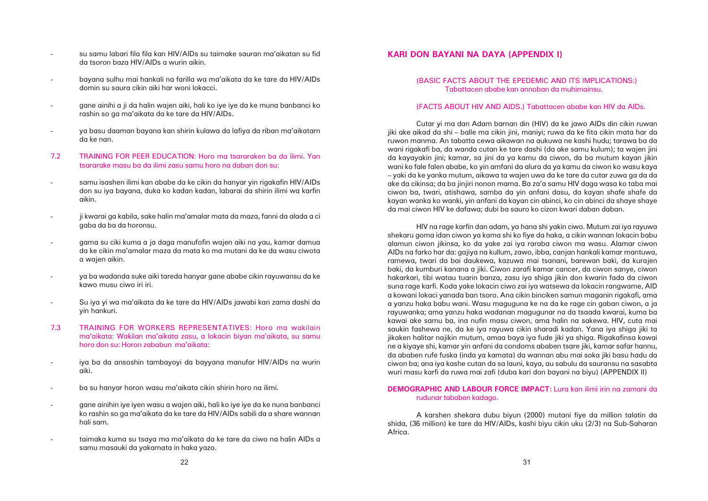- su samu labari fila fila kan HIV/AIDs su taimake sauran ma'aikatan su fid da tsoron baza HIV/AIDs a wurin aikin.
- bayana sulhu mai hankali na farilla wa ma'aikata da ke tare da HIV/AIDs domin su saura cikin aiki har woni lokacci.
- gane ainihi a ji da halin wajen aiki, hali ko iye iye da ke muna banbanci ko rashin so ga ma'aikata da ke tare da HIV/AIDs.
- ya basu daaman bayana kan shirin kulawa da lafiya da riban ma'aikatarn da ke nan.
- 7.2 TRAINING FOR PEER EDUCATION: Horo ma tsararaken ba da ilimi. Yan tsararake masu ba da ilimi zasu samu horo na daban don su:
- samu isashen ilimi kan ababe da ke cikin da hanyar yin rigakafin HIV/AIDs don su iya bayana, duka ko kadan kadan, labarai da shirin ilimi wa karfin aikin.
- ji kwarai ga kabila, sake halin ma'amalar mata da maza, fanni da alada a ci gaba da ba da horonsu.
- gama su ciki kuma a ja daga manufofin wajen aiki na yau, kamar damua da ke cikin ma'amalar maza da mata ko ma mutani da ke da wasu ciwota a wajen aikin.
- ya ba wadanda suke aiki tareda hanyar gane ababe cikin rayuwansu da ke kawo musu ciwo iri iri.
- Su iya yi wa ma'aikata da ke tare da HIV/AIDs jawabi kan zama dashi da yin hankuri.
- 7.3 TRAINING FOR WORKERS REPRESENTATIVES: Horo ma wakilain ma'aikata: Wakilan ma'aikata zasu, a lokacin biyan ma'aikata, su samu horo don su: Horon zababun ma'aikata:
- iya ba da ansoshin tambayoyi da bayyana manufar HIV/AIDs na wurin aiki.
- ba su hanyar horon wasu ma'aikata cikin shirin horo na ilimi.
- gane ainihin iye iyen wasu a wajen aiki, hali ko iye iye da ke nuna banbanci ko rashin so ga ma'aikata da ke tare da HIV/AIDs sabili da a share wannan hali sam.
- taimaka kuma su tsaya ma ma'aikata da ke tare da ciwo na halin AIDs a samu masauki da yakamata in haka yazo.

## **KARI DON BAYANI NA DAYA (APPENDIX I)**

### (BASIC FACTS ABOUT THE EPEDEMIC AND ITS IMPLICATIONS:) Tabattacen ababe kan annoban da muhimainsu.

### (FACTS ABOUT HIV AND AIDS.) Tabattacen ababe kan HIV da AIDs.

Cutar yi ma dan Adam barnan din (HIV) da ke jawo AIDs din cikin ruwan jiki ake aikad da shi – balle ma cikin jini, maniyi; ruwa da ke fita cikin mata har da ruwon manma. An tabatta cewa aikawan na aukuwa ne kashi hudu; tarawa ba da wani rigakafi ba, da wanda cutan ke tare dashi (da ake samu kulum); ta wajen jini da kayayakin jini; kamar, sa jini da ya kamu da ciwon, da ba mutum kayan jikin wani ko fale falen ababe, ko yin amfani da alura da ya kamu da ciwon ko wasu kaya – yaki da ke yanka mutum, aikawa ta wajen uwa da ke tare da cutar zuwa ga da da ake da cikinsa; da ba jinjiri nonon mama. Ba za'a samu HIV daga wasa ko taba mai ciwon ba, twari, atishawa, samba da yin anfani dasu, da kayan shafe shafe da kayan wanka ko wanki, yin anfani da kayan cin abinci, ko cin abinci da shaye shaye da mai ciwon HIV ke dafawa; dubi ba sauro ko cizon kwari daban daban.

HIV na rage karfin dan adam, ya hana shi yakin ciwo. Mutum zai iya rayuwa shekaru goma idan ciwon ya kama shi ko fiye da haka, a cikin wannan lokacin babu alamun ciwon jikinsa, ko da yake zai iya raraba ciwon ma wasu. Alamar ciwon AIDs na farko har da: gajiya na kullum, zawo, ibba, canjan hankali kamar mantuwa, ramewa, twari da bai daukewa, kazuwa mai tsanani, barewan baki, da kurajen baki, da kumburi kanana a jiki. Ciwon zarafi kamar cancer, da ciwon sanye, ciwon hakarkari, tibi watau tuarin banza, zasu iya shiga jikin don kwarin fada da ciwon suna rage karfi. Koda yake lokacin ciwo zai iya watsewa da lokacin rangwame, AID a kowani lokaci yanada ban tsoro. Ana cikin binciken samun maganin rigakafi, ama a yanzu haka babu wani. Wasu maguguna ke na da ke rage cin gaban ciwon, a ja rayuwanka; ama yanzu haka wadanan magugunar na da tsaada kwarai, kuma ba kawai ake samu ba, ina nufin masu ciwon, ama halin na sakewa. HIV, cuta mai saukin fashewa ne, da ke iya rayuwa cikin sharadi kadan. Yana iya shiga jiki ta jikaken halitar najikin mutum, amaa baya iya fude jiki ya shiga. Rigakafinsa kawai ne a kiyaye shi, kamar yin anfani da condoms ababen tsare jiki, kamar safar hannu, da ababen rufe fuska (inda ya kamata) da wannan abu mai soka jiki basu hadu da ciwon ba; ana iya kashe cutan da sa launi, kaya, au sabulu da sauransu na sasabta wuri masu karfi da ruwa mai zafi (duba kari don bayani na biyu) (APPENDIX II)

### **DEMOGRAPHIC AND LABOUR FORCE IMPACT:** Lura kan ilimi irin na zamani da rudunar tababen kadago.

A karshen shekara dubu biyun (2000) mutani fiye da million talatin da shida, (36 million) ke tare da HIV/AIDs, kashi biyu cikin uku (2/3) na Sub-Saharan Africa.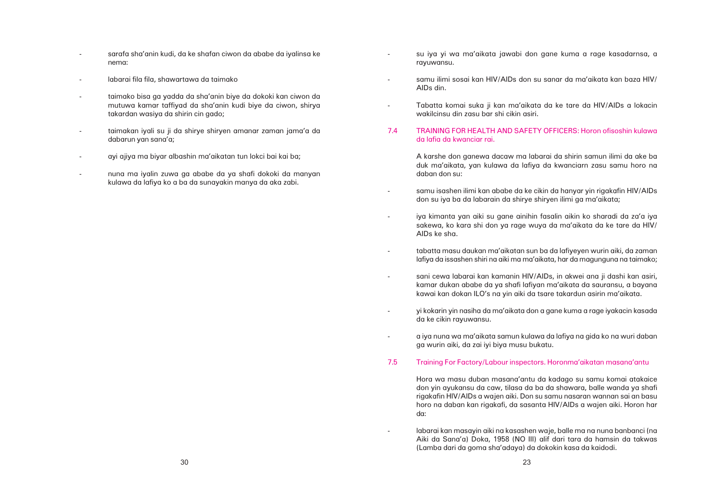su iya yi wa ma'aikata jawabi don gane kuma a rage kasadarnsa, a

samu ilimi sosai kan HIV/AIDs don su sanar da ma'aikata kan baza HIV/

- rayuwansu.
- AIDs din.
- wakilcinsu din zasu bar shi cikin asiri.

Tabatta komai suka ji kan ma'aikata da ke tare da HIV/AIDs a lokacin

### 7.4 TRAINING FOR HEALTH AND SAFETY OFFICERS: Horon ofisoshin kulawa da lafia da kwanciar rai.

A karshe don ganewa dacaw ma labarai da shirin samun ilimi da ake ba duk ma'aikata, yan kulawa da lafiya da kwanciarn zasu samu horo na daban don su:

-

samu isashen ilimi kan ababe da ke cikin da hanyar yin rigakafin HIV/AIDs

don su iya ba da labarain da shirye shiryen ilimi ga ma'aikata;

-

 iya kimanta yan aiki su gane ainihin fasalin aikin ko sharadi da za'a iya sakewa, ko kara shi don ya rage wuya da ma'aikata da ke tare da HIV/

 tabatta masu daukan ma'aikatan sun ba da lafiyeyen wurin aiki, da zaman lafiya da issashen shiri na aiki ma ma'aikata, har da magunguna na taimako;

-

kamar dukan ababe da ya shafi lafiyan ma'aikata da sauransu, a bayana

- AIDs ke sha.
- 
- sani cewa labarai kan kamanin HIV/AIDs, in akwei ana ji dashi kan asiri, kawai kan dokan ILO's na yin aiki da tsare takardun asirin ma'aikata.
- yi kokarin yin nasiha da ma'aikata don a gane kuma a rage iyakacin kasada da ke cikin rayuwansu.
- ga wurin aiki, da zai iyi biya musu bukatu.

-

-

a iya nuna wa ma'aikata samun kulawa da lafiya na gida ko na wuri daban

### 7.5 Training For Factory/Labour inspectors. Horonma'aikatan masana'antu

Hora wa masu duban masana'antu da kadago su samu komai atakaice don yin ayukansu da caw, tilasa da ba da shawara, balle wanda ya shafi rigakafin HIV/AIDs a wajen aiki. Don su samu nasaran wannan sai an basu horo na daban kan rigakafi, da sasanta HIV/AIDs a wajen aiki. Horon har da:

 labarai kan masayin aiki na kasashen waje, balle ma na nuna banbanci (na Aiki da Sana'a) Doka, 1958 (NO III) alif dari tara da hamsin da takwas

(Lamba dari da goma sha'adaya) da dokokin kasa da kaidodi.

- sarafa sha'anin kudi, da ke shafan ciwon da ababe da iyalinsa ke nema:
- labarai fila fila, shawartawa da taimako
- taimako bisa ga yadda da sha'anin biye da dokoki kan ciwon da mutuwa kamar taffiyad da sha'anin kudi biye da ciwon, shirya takardan wasiya da shirin cin gado;
- taimakan iyali su ji da shirye shiryen amanar zaman jama'a da dabarun yan sana'a;
- ayi ajiya ma biyar albashin ma'aikatan tun lokci bai kai ba;
- nuna ma iyalin zuwa ga ababe da ya shafi dokoki da manyan kulawa da lafiya ko a ba da sunayakin manya da aka zabi.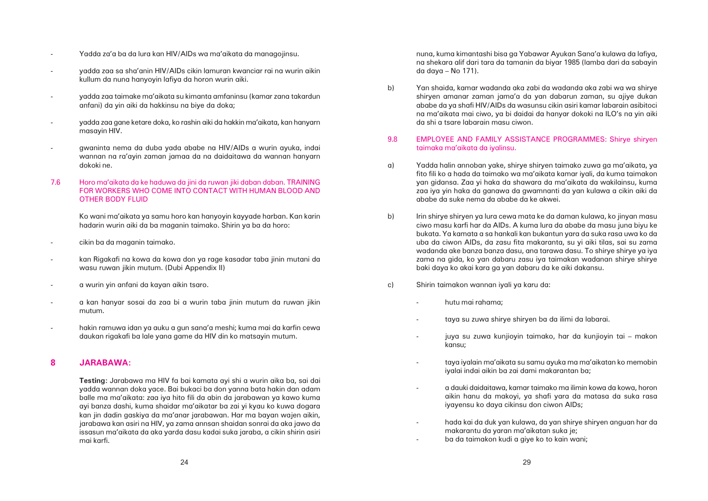- Yadda za'a ba da lura kan HIV/AIDs wa ma'aikata da managojinsu.
- yadda zaa sa sha'anin HIV/AIDs cikin lamuran kwanciar rai na wurin aikin kullum da nuna hanyoyin lafiya da horon wurin aiki.
- yadda zaa taimake ma'aikata su kimanta amfaninsu (kamar zana takardun anfani) da yin aiki da hakkinsu na biye da doka;
- yadda zaa gane ketare doka, ko rashin aiki da hakkin ma'aikata, kan hanyarn masayin HIV.
- gwaninta nema da duba yada ababe na HIV/AIDs a wurin ayuka, indai wannan na ra'ayin zaman jamaa da na daidaitawa da wannan hanyarn dokoki ne.
- 7.6 Horo ma'aikata da ke haduwa da jini da ruwan jiki daban daban. TRAINING FOR WORKERS WHO COME INTO CONTACT WITH HUMAN BLOOD AND OTHER BODY FLUID

Ko wani ma'aikata ya samu horo kan hanyoyin kayyade harban. Kan karin hadarin wurin aiki da ba maganin taimako. Shirin ya ba da horo:

- cikin ba da maganin taimako.
- kan Rigakafi na kowa da kowa don ya rage kasadar taba jinin mutani da wasu ruwan jikin mutum. (Dubi Appendix II)
- a wurin yin anfani da kayan aikin tsaro.
- a kan hanyar sosai da zaa bi a wurin taba jinin mutum da ruwan jikin mutum.
- hakin ramuwa idan ya auku a gun sana'a meshi; kuma mai da karfin cewa daukan rigakafi ba lale yana game da HIV din ko matsayin mutum.

### **8 JARABAWA:**

**Testing:** Jarabawa ma HIV fa bai kamata ayi shi a wurin aika ba, sai dai yadda wannan doka yace. Bai bukaci ba don yanna bata hakin dan adam balle ma ma'aikata: zaa iya hito fili da abin da jarabawan ya kawo kuma ayi banza dashi, kuma shaidar ma'aikatar ba zai yi kyau ko kuwa dogara kan jin dadin gaskiya da ma'anar jarabawan. Har ma bayan wajen aikin, jarabawa kan asiri na HIV, ya zama annsan shaidan sonrai da aka jawo da issasun ma'aikata da aka yarda dasu kadai suka jaraba, a cikin shirin asiri mai karfi.

nuna, kuma kimantashi bisa ga Yabawar Ayukan Sana'a kulawa da lafiya, na shekara alif dari tara da tamanin da biyar 1985 (lamba dari da sabayin da daya – No 171).

b) Yan shaida, kamar wadanda aka zabi da wadanda aka zabi wa wa shirye da shi a tsare labarain masu ciwon.

shiryen amanar zaman jama'a da yan dabarun zaman, su ajiye dukan ababe da ya shafi HIV/AIDs da wasunsu cikin asiri kamar labarain asibitoci na ma'aikata mai ciwo, ya bi daidai da hanyar dokoki na ILO's na yin aiki

### 9.8 EMPLOYEE AND FAMILY ASSISTANCE PROGRAMMES: Shirye shiryen taimaka ma'aikata da iyalinsu.

fito fili ko a hada da taimako wa ma'aikata kamar iyali, da kuma taimakon yan gidansa. Zaa yi haka da shawara da ma'aikata da wakilainsu, kuma zaa iya yin haka da ganawa da gwamnanti da yan kulawa a cikin aiki da

ciwo masu karfi har da AIDs. A kuma lura da ababe da masu juna biyu ke bukata. Ya kamata a sa hankali kan bukantun yara da suka rasa uwa ko da uba da ciwon AIDs, da zasu fita makaranta, su yi aiki tilas, sai su zama wadanda ake banza banza dasu, ana tarawa dasu. To shirye shirye ya iya zama na gida, ko yan dabaru zasu iya taimakan wadanan shirye shirye

- a) Yadda halin annoban yake, shirye shiryen taimako zuwa ga ma'aikata, ya ababe da suke nema da ababe da ke akwei.
- b) Irin shirye shiryen ya lura cewa mata ke da daman kulawa, ko jinyan masu baki daya ko akai kara ga yan dabaru da ke aiki dakansu.
- c) Shirin taimakon wannan iyali ya karu da:
	- hutu mai rahama;
	- taya su zuwa shirye shiryen ba da ilimi da labarai.
	- kansu;
	- iyalai indai aikin ba zai dami makarantan ba;
	- iyayensu ko daya cikinsu don ciwon AIDs;
	- makarantu da yaran ma'aikatan suka je; ba da taimakon kudi a giye ko to kain wani;

juya su zuwa kunjioyin taimako, har da kunjioyin tai – makon

taya iyalain ma'aikata su samu ayuka ma ma'aikatan ko memobin

 a dauki daidaitawa, kamar taimako ma ilimin kowa da kowa, horon aikin hanu da makoyi, ya shafi yara da matasa da suka rasa

hada kai da duk yan kulawa, da yan shirye shiryen anguan har da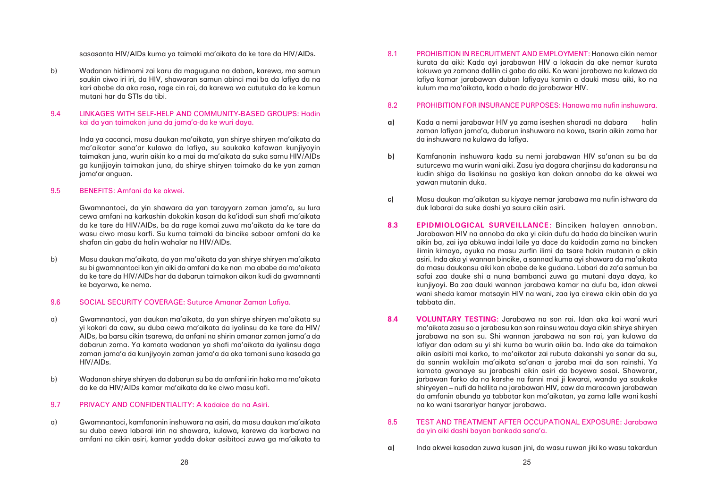8.1 PROHIBITION IN RECRUITMENT AND EMPLOYMENT: Hanawa cikin nemar kurata da aiki: Kada ayi jarabawan HIV a lokacin da ake nemar kurata kokuwa ya zamana dalilin ci gaba da aiki. Ko wani jarabawa na kulawa da lafiya kamar jarabawan duban lafiyayu kamin a dauki masu aiki, ko na

kulum ma ma'aikata, kada a hada da jarabawar HIV.

### 8.2 PROHIBITION FOR INSURANCE PURPOSES: Hanawa ma nufin inshuwara.

zaman lafiyan jama'a, dubarun inshuwara na kowa, tsarin aikin zama har

- **a)** Kada a nemi jarabawar HIV ya zama iseshen sharadi na dabara halin da inshuwara na kulawa da lafiya.
- **b)** Kamfanonin inshuwara kada su nemi jarabawan HIV sa'anan su ba da yawan mutanin duka.
- duk labarai da suke dashi ya saura cikin asiri.

suturcewa ma wurin wani aiki. Zasu iya dogara charjinsu da kadaransu na kudin shiga da lisakinsu na gaskiya kan dokan annoba da ke akwei wa

**c)** Masu daukan ma'aikatan su kiyaye nemar jarabawa ma nufin ishwara da

**8.3 EPIDMIOLOGICAL SURVEILLANCE:** Binciken halayen annoban. Jarabawan HIV na annoba da aka yi cikin dufu da hada da binciken wurin aikin ba, zai iya abkuwa indai laile ya dace da kaidodin zama na bincken ilimin kimaya, ayuka na masu zurfin ilimi da tsare hakin mutanin a cikin asiri. Inda aka yi wannan bincike, a sannad kuma ayi shawara da ma'aikata da masu daukansu aiki kan ababe de ke gudana. Labari da za'a samun ba safai zaa dauke shi a nuna bambanci zuwa ga mutani daya daya, ko kunjiyoyi. Ba zaa dauki wannan jarabawa kamar na dufu ba, idan akwei wani sheda kamar matsayin HIV na wani, zaa iya cirewa cikin abin da ya tabbata din.

**8.4 VOLUNTARY TESTING:** Jarabawa na son rai. Idan aka kai wani wuri ma'aikata zasu so a jarabasu kan son rainsu watau daya cikin shirye shiryen jarabawa na son su. Shi wannan jarabawa na son rai, yan kulawa da lafiyar dan adam su yi shi kuma ba wurin aikin ba. Inda ake da taimakon aikin asibiti mai karko, to ma'aikatar zai rubuta dakanshi ya sanar da su, da sannin wakilain ma'aikata sa'anan a jaraba mai da son rainshi. Ya kamata gwanaye su jarabashi cikin asiri da boyewa sosai. Shawarar, jarbawan farko da na karshe na fanni mai ji kwarai, wanda ya saukake shiryeyen – nufi da hallita na jarabawan HIV, caw da maracawn jarabawan da amfanin abunda ya tabbatar kan ma'aikatan, ya zama lalle wani kashi

na ko wani tsarariyar hanyar jarabawa.

### 8.5 TEST AND TREATMENT AFTER OCCUPATIONAL EXPOSURE: Jarabawa da yin aiki dashi bayan bankada sana'a.

**a)** Inda akwei kasadan zuwa kusan jini, da wasu ruwan jiki ko wasu takardun

sasasanta HIV/AIDs kuma ya taimaki ma'aikata da ke tare da HIV/AIDs.

b) Wadanan hidimomi zai karu da maguguna na daban, karewa, ma samun saukin ciwo iri iri, da HIV, shawaran samun abinci mai ba da lafiya da na kari ababe da aka rasa, rage cin rai, da karewa wa cututuka da ke kamun mutani har da STIs da tibi.

### 9.4 LINKAGES WITH SELF-HELP AND COMMUNITY-BASED GROUPS: Hadin kai da yan taimakon juna da jama'a-da ke wuri daya.

Inda ya cacanci, masu daukan ma'aikata, yan shirye shiryen ma'aikata da ma'aikatar sana'ar kulawa da lafiya, su saukaka kafawan kunjiyoyin taimakan juna, wurin aikin ko a mai da ma'aikata da suka samu HIV/AIDs ga kunjijoyin taimakan juna, da shirye shiryen taimako da ke yan zaman jama'ar anguan.

### 9.5 BENEFITS: Amfani da ke akwei.

Gwamnantoci, da yin shawara da yan tarayyarn zaman jama'a, su lura cewa amfani na karkashin dokokin kasan da ka'idodi sun shafi ma'aikata da ke tare da HIV/AIDs, ba da rage komai zuwa ma'aikata da ke tare da wasu ciwo masu karfi. Su kuma taimaki da bincike saboar amfani da ke shafan cin gaba da halin wahalar na HIV/AIDs.

b) Masu daukan ma'aikata, da yan ma'aikata da yan shirye shiryen ma'aikata su bi gwamnantoci kan yin aiki da amfani da ke nan ma ababe da ma'aikata da ke tare da HIV/AIDs har da dabarun taimakon aikon kudi da gwamnanti ke bayarwa, ke nema.

### 9.6 SOCIAL SECURITY COVERAGE: Suturce Amanar Zaman Lafiya.

- a) Gwamnantoci, yan daukan ma'aikata, da yan shirye shiryen ma'aikata su yi kokari da caw, su duba cewa ma'aikata da iyalinsu da ke tare da HIV/ AIDs, ba barsu cikin tsarewa, da anfani na shirin amanar zaman jama'a da dabarun zama. Ya kamata wadanan ya shafi ma'aikata da iyalinsu daga zaman jama'a da kunjiyoyin zaman jama'a da aka tamani suna kasada ga HIV/AIDs.
- b) Wadanan shirye shiryen da dabarun su ba da amfani irin haka ma ma'aikata da ke da HIV/AIDs kamar ma'aikata da ke ciwo masu kafi.

### 9.7 PRIVACY AND CONFIDENTIALITY: A kadaice da na Asiri.

a) Gwamnantoci, kamfanonin inshuwara na asiri, da masu daukan ma'aikata su duba cewa labarai irin na shawara, kulawa, karewa da karbawa na amfani na cikin asiri, kamar yadda dokar asibitoci zuwa ga ma'aikata ta